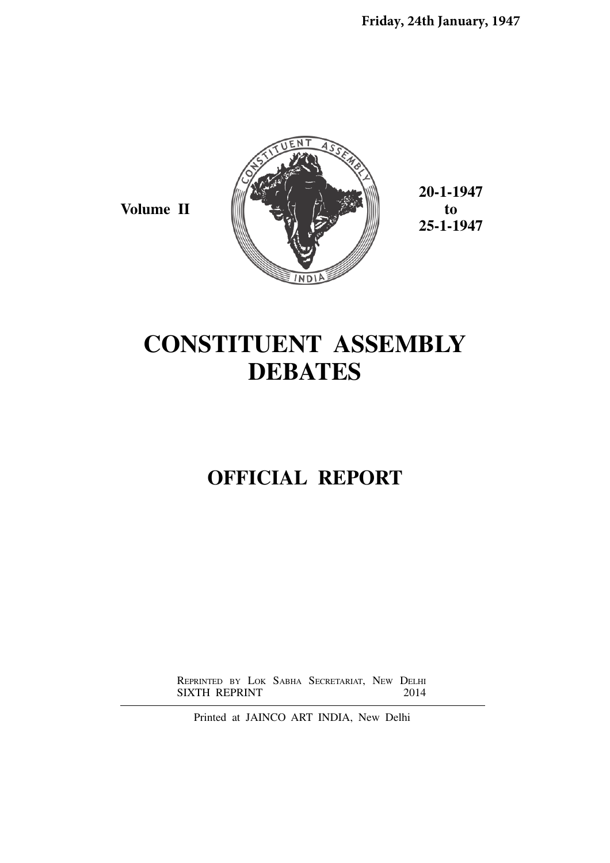**Friday, 24th January, 1947**

**Volume II**



**20-1-1947 to 25-1-1947**

# **CONSTITUENT ASSEMBLY DEBATES**

## **OFFICIAL REPORT**

REPRINTED BY LOK SABHA SECRETARIAT, NEW DELHI<br>SIXTH REPRINT 2014 SIXTH REPRINT

Printed at JAINCO ART INDIA, New Delhi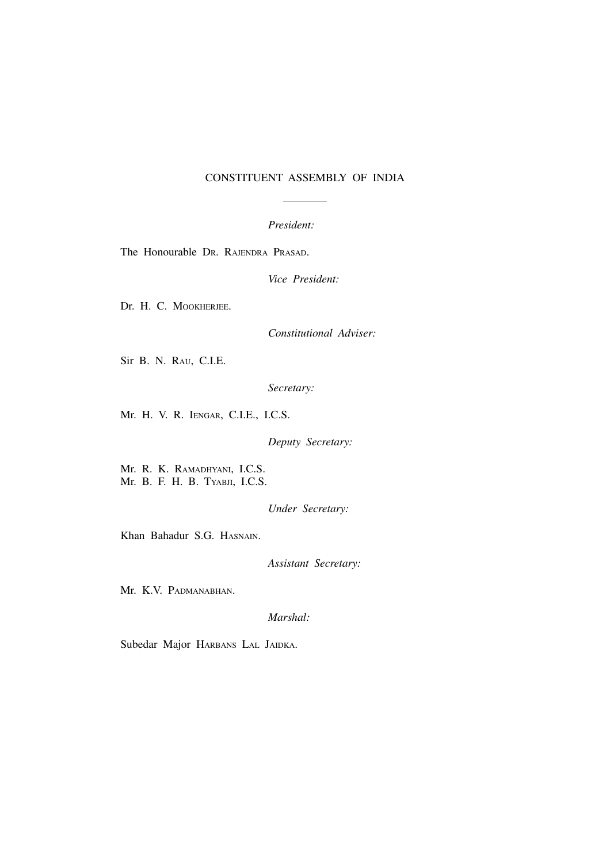## CONSTITUENT ASSEMBLY OF INDIA

#### *President:*

The Honourable DR. RAJENDRA PRASAD.

*Vice President:*

Dr. H. C. MOOKHERJEE.

*Constitutional Adviser:*

Sir B. N. RAU, C.I.E.

*Secretary:*

Mr. H. V. R. IENGAR, C.I.E., I.C.S.

*Deputy Secretary:*

Mr. R. K. RAMADHYANI, I.C.S. Mr. B. F. H. B. TYABJI, I.C.S.

*Under Secretary:*

Khan Bahadur S.G. HASNAIN.

*Assistant Secretary:*

Mr. K.V. PADMANABHAN.

*Marshal:*

Subedar Major HARBANS LAL JAIDKA.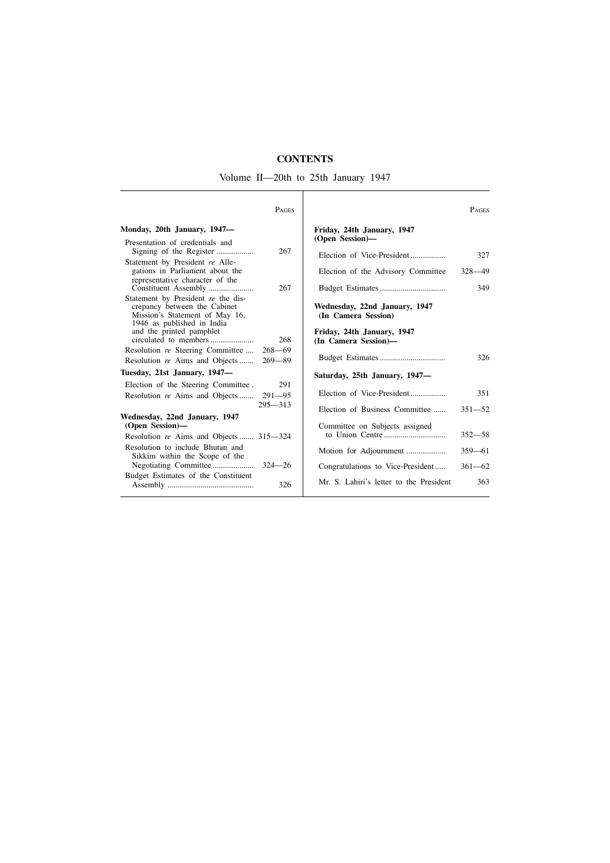## **CONTENTS**

Volume II—20th to 25th January 1947

|                                                                                                                                    | PAGES       |                                                      | <b>PAGES</b> |
|------------------------------------------------------------------------------------------------------------------------------------|-------------|------------------------------------------------------|--------------|
| Monday, 20th January, 1947-                                                                                                        |             | Friday, 24th January, 1947                           |              |
| Presentation of credentials and                                                                                                    |             | (Open Session)-                                      |              |
|                                                                                                                                    | 267         | Election of Vice-President                           | 327          |
| Statement by President re Alle-<br>gations in Parliament about the<br>representative character of the                              |             | Election of the Advisory Committee                   | $328 - 49$   |
| Constituent Assembly                                                                                                               | 267         |                                                      | 349          |
| Statement by President re the dis-<br>crepancy between the Cabinet<br>Mission's Statement of May 16,<br>1946 as published in India |             | Wednesday, 22nd January, 1947<br>(In Camera Session) |              |
| and the printed pamphlet                                                                                                           | 268         | Friday, 24th January, 1947<br>(In Camera Session)-   |              |
| Resolution re Steering Committee                                                                                                   | $268 - 69$  |                                                      |              |
| Resolution re Aims and Objects                                                                                                     | $269 - 89$  |                                                      | 326          |
| Tuesday, 21st January, 1947-                                                                                                       |             | Saturday, 25th January, 1947—                        |              |
| Election of the Steering Committee.                                                                                                | 291         |                                                      |              |
| Resolution re Aims and Objects                                                                                                     | $291 - 95$  | Election of Vice-President                           | 351          |
|                                                                                                                                    | $295 - 313$ | Election of Business Committee                       | $351 - 52$   |
| Wednesday, 22nd January, 1947                                                                                                      |             |                                                      |              |
| (Open Session)-                                                                                                                    |             | Committee on Subjects assigned                       | $352 - 58$   |
| Resolution re Aims and Objects  315-324<br>Resolution to include Bhutan and                                                        |             |                                                      |              |
| Sikkim within the Scope of the                                                                                                     |             | Motion for Adjournment                               | $359 - 61$   |
|                                                                                                                                    |             | Congratulations to Vice-President                    | $361 - 62$   |
| Budget Estimates of the Constituent                                                                                                | 326         | Mr. S. Lahiri's letter to the President              | 363          |
|                                                                                                                                    |             |                                                      |              |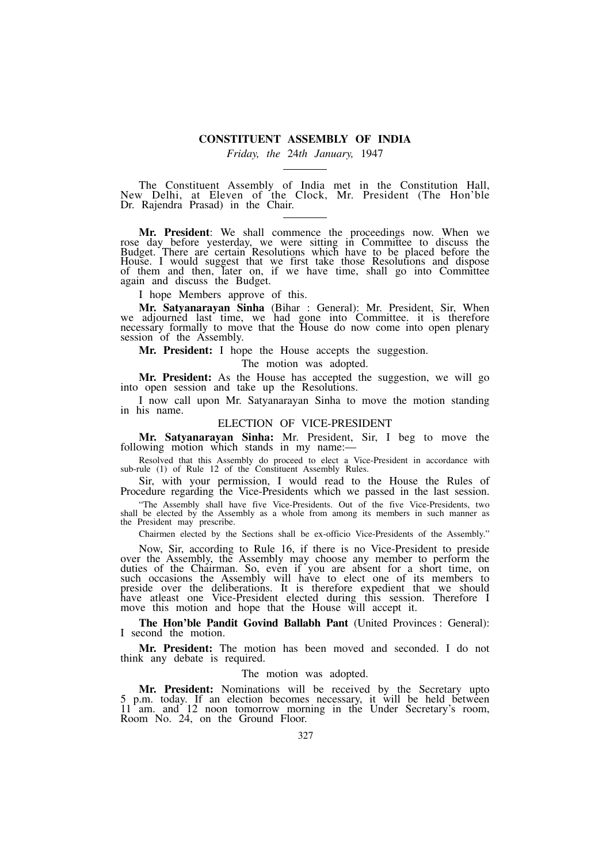#### **CONSTITUENT ASSEMBLY OF INDIA**

*Friday, the* 24*th January,* 1947

The Constituent Assembly of India met in the Constitution Hall, New Delhi, at Eleven of the Clock, Mr. President (The Hon'ble Dr. Rajendra Prasad) in the Chair.

**Mr. President**: We shall commence the proceedings now. When we rose day before yesterday, we were sitting in Committee to discuss the Budget. There are certain Resolutions which have to be placed before the House. I would suggest that we first take those Resolutions and dispose of them and then, later on, if we have time, shall go into Committee again and discuss the Budget.

I hope Members approve of this.

**Mr. Satyanarayan Sinha** (Bihar : General): Mr. President, Sir, When we adjourned last time, we had gone into Committee. it is therefore necessary formally to move that the House do now come into open plenary session of the Assembly.

**Mr. President:** I hope the House accepts the suggestion.

The motion was adopted.

**Mr. President:** As the House has accepted the suggestion, we will go into open session and take up the Resolutions.

I now call upon Mr. Satyanarayan Sinha to move the motion standing in his name.

#### ELECTION OF VICE-PRESIDENT

**Mr. Satyanarayan Sinha:** Mr. President, Sir, I beg to move the following motion which stands in my name:—

Resolved that this Assembly do proceed to elect a Vice-President in accordance with sub-rule (1) of Rule 12 of the Constituent Assembly Rules.

Sir, with your permission, I would read to the House the Rules of Procedure regarding the Vice-Presidents which we passed in the last session.

"The Assembly shall have five Vice-Presidents. Out of the five Vice-Presidents, two shall be elected by the Assembly as a whole from among its members in such manner as the President may prescribe.

Chairmen elected by the Sections shall be ex-officio Vice-Presidents of the Assembly."

Now, Sir, according to Rule 16, if there is no Vice-President to preside over the Assembly, the Assembly may choose any member to perform the duties of the Chairman. So, even if you are absent for a short time, on such occasions the Assembly will have to elect one of its members to preside over the deliberations. It is therefore expedient that we should have atleast one Vice-President elected during this session. Therefore I move this motion and hope that the House will accept it.

**The Hon'ble Pandit Govind Ballabh Pant** (United Provinces : General): I second the motion.

**Mr. President:** The motion has been moved and seconded. I do not think any debate is required.

#### The motion was adopted.

**Mr. President:** Nominations will be received by the Secretary upto 5 p.m. today. If an election becomes necessary, it will be held between 11 am. and 12 noon tomorrow morning in the Under Secretary's room, Room No. 24, on the Ground Floor.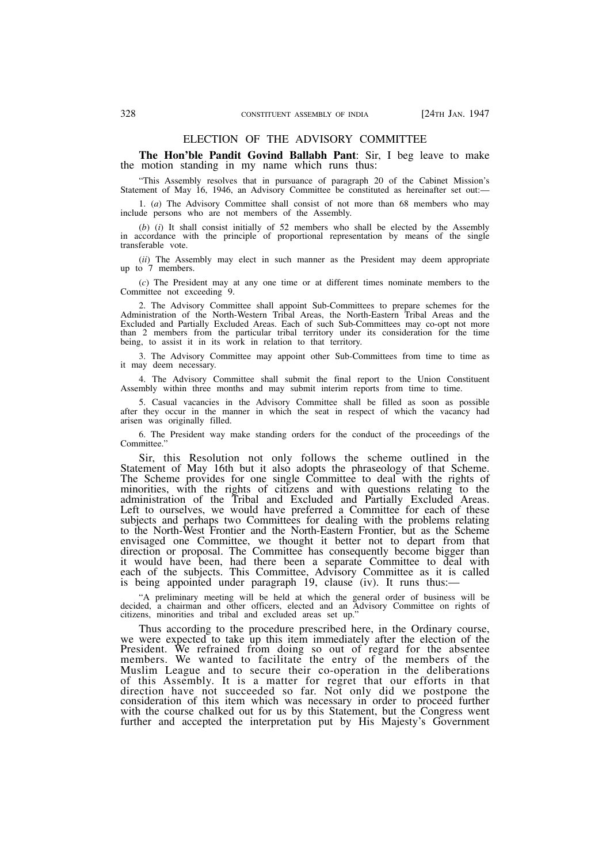#### ELECTION OF THE ADVISORY COMMITTEE

**The Hon'ble Pandit Govind Ballabh Pant**: Sir, I beg leave to make the motion standing in my name which runs thus:

"This Assembly resolves that in pursuance of paragraph 20 of the Cabinet Mission's Statement of May 16, 1946, an Advisory Committee be constituted as hereinafter set out:—

1. (*a*) The Advisory Committee shall consist of not more than 68 members who may include persons who are not members of the Assembly.

(*b*) (*i*) It shall consist initially of 52 members who shall be elected by the Assembly in accordance with the principle of proportional representation by means of the single transferable vote.

(*ii*) The Assembly may elect in such manner as the President may deem appropriate up to 7 members.

(*c*) The President may at any one time or at different times nominate members to the Committee not exceeding 9.

2. The Advisory Committee shall appoint Sub-Committees to prepare schemes for the Administration of the North-Western Tribal Areas, the North-Eastern Tribal Areas and the Excluded and Partially Excluded Areas. Each of such Sub-Committees may co-opt not more than 2 members from the particular tribal territory under its consideration for the time being, to assist it in its work in relation to that territory.

3. The Advisory Committee may appoint other Sub-Committees from time to time as it may deem necessary.

4. The Advisory Committee shall submit the final report to the Union Constituent Assembly within three months and may submit interim reports from time to time.

5. Casual vacancies in the Advisory Committee shall be filled as soon as possible after they occur in the manner in which the seat in respect of which the vacancy had arisen was originally filled.

6. The President way make standing orders for the conduct of the proceedings of the Committee.'

Sir, this Resolution not only follows the scheme outlined in the Statement of May 16th but it also adopts the phraseology of that Scheme. The Scheme provides for one single Committee to deal with the rights of minorities, with the rights of citizens and with questions relating to the administration of the Tribal and Excluded and Partially Excluded Areas. Left to ourselves, we would have preferred a Committee for each of these subjects and perhaps two Committees for dealing with the problems relating to the North-West Frontier and the North-Eastern Frontier, but as the Scheme envisaged one Committee, we thought it better not to depart from that direction or proposal. The Committee has consequently become bigger than it would have been, had there been a separate Committee to deal with each of the subjects. This Committee, Advisory Committee as it is called is being appointed under paragraph 19, clause (iv). It runs thus:-

"A preliminary meeting will be held at which the general order of business will be decided, a chairman and other officers, elected and an Advisory Committee on rights of citizens, minorities and tribal and excluded areas set up."

Thus according to the procedure prescribed here, in the Ordinary course, we were expected to take up this item immediately after the election of the President. We refrained from doing so out of regard for the absentee members. We wanted to facilitate the entry of the members of the Muslim League and to secure their co-operation in the deliberations of this Assembly. It is a matter for regret that our efforts in that direction have not succeeded so far. Not only did we postpone the consideration of this item which was necessary in order to proceed further with the course chalked out for us by this Statement, but the Congress went further and accepted the interpretation put by His Majesty's Government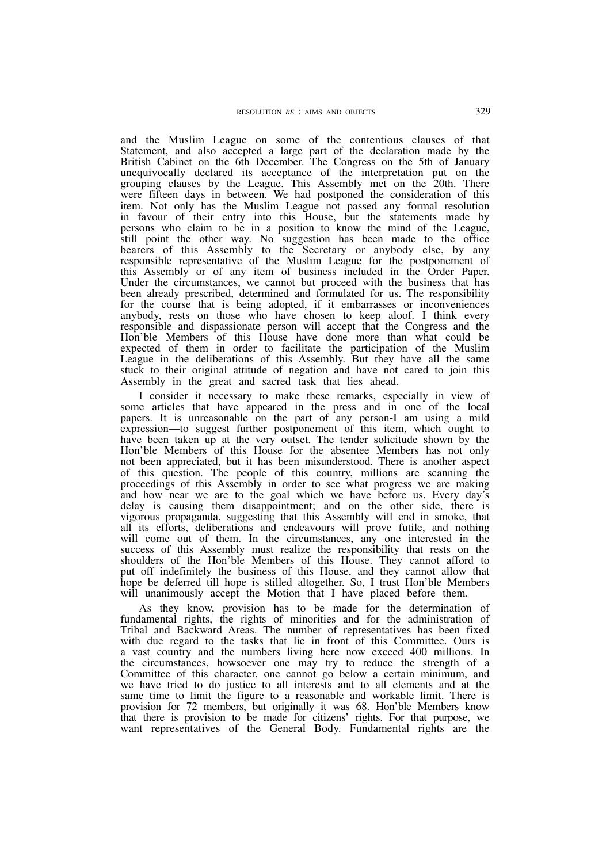and the Muslim League on some of the contentious clauses of that Statement, and also accepted a large part of the declaration made by the British Cabinet on the 6th December. The Congress on the 5th of January unequivocally declared its acceptance of the interpretation put on the grouping clauses by the League. This Assembly met on the 20th. There were fifteen days in between. We had postponed the consideration of this item. Not only has the Muslim League not passed any formal resolution in favour of their entry into this House, but the statements made by persons who claim to be in a position to know the mind of the League, still point the other way. No suggestion has been made to the office bearers of this Assembly to the Secretary or anybody else, by any responsible representative of the Muslim League for the postponement of this Assembly or of any item of business included in the Order Paper. Under the circumstances, we cannot but proceed with the business that has been already prescribed, determined and formulated for us. The responsibility for the course that is being adopted, if it embarrasses or inconveniences anybody, rests on those who have chosen to keep aloof. I think every responsible and dispassionate person will accept that the Congress and the Hon'ble Members of this House have done more than what could be expected of them in order to facilitate the participation of the Muslim League in the deliberations of this Assembly. But they have all the same stuck to their original attitude of negation and have not cared to join this Assembly in the great and sacred task that lies ahead.

I consider it necessary to make these remarks, especially in view of some articles that have appeared in the press and in one of the local papers. It is unreasonable on the part of any person-I am using a mild expression—to suggest further postponement of this item, which ought to have been taken up at the very outset. The tender solicitude shown by the Hon'ble Members of this House for the absentee Members has not only not been appreciated, but it has been misunderstood. There is another aspect of this question. The people of this country, millions are scanning the proceedings of this Assembly in order to see what progress we are making and how near we are to the goal which we have before us. Every day's delay is causing them disappointment; and on the other side, there is vigorous propaganda, suggesting that this Assembly will end in smoke, that all its efforts, deliberations and endeavours will prove futile, and nothing will come out of them. In the circumstances, any one interested in the success of this Assembly must realize the responsibility that rests on the shoulders of the Hon'ble Members of this House. They cannot afford to put off indefinitely the business of this House, and they cannot allow that hope be deferred till hope is stilled altogether. So, I trust Hon'ble Members will unanimously accept the Motion that I have placed before them.

As they know, provision has to be made for the determination of fundamental rights, the rights of minorities and for the administration of Tribal and Backward Areas. The number of representatives has been fixed with due regard to the tasks that lie in front of this Committee. Ours is a vast country and the numbers living here now exceed 400 millions. In the circumstances, howsoever one may try to reduce the strength of a Committee of this character, one cannot go below a certain minimum, and we have tried to do justice to all interests and to all elements and at the same time to limit the figure to a reasonable and workable limit. There is provision for 72 members, but originally it was 68. Hon'ble Members know that there is provision to be made for citizens' rights. For that purpose, we want representatives of the General Body. Fundamental rights are the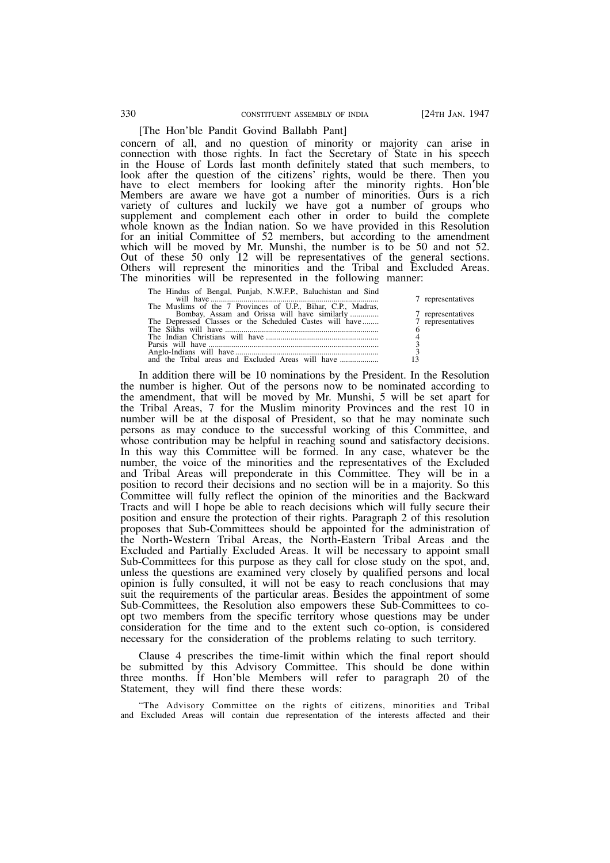#### [The Hon'ble Pandit Govind Ballabh Pant]

concern of all, and no question of minority or majority can arise in connection with those rights. In fact the Secretary of State in his speech in the House of Lords last month definitely stated that such members, to look after the question of the citizens' rights, would be there. Then you have to elect members for looking after the minority rights. Hon'ble Members are aware we have got a number of minorities. Ours is a rich variety of cultures and luckily we have got a number of groups who supplement and complement each other in order to build the complete whole known as the Indian nation. So we have provided in this Resolution for an initial Committee of 52 members, but according to the amendment which will be moved by Mr. Munshi, the number is to be 50 and not 52. Out of these 50 only 12 will be representatives of the general sections. Others will represent the minorities and the Tribal and Excluded Areas. The minorities will be represented in the following manner:

| The Hindus of Bengal, Punjab, N.W.F.P., Baluchistan and Sind              |                   |
|---------------------------------------------------------------------------|-------------------|
|                                                                           | 7 representatives |
| The Muslims of the 7 Provinces of U.P., Bihar, C.P., Madras,              |                   |
|                                                                           |                   |
| The Depressed Classes or the Scheduled Castes will have 7 representatives |                   |
|                                                                           |                   |
|                                                                           |                   |
|                                                                           |                   |
|                                                                           |                   |
|                                                                           |                   |
|                                                                           |                   |

In addition there will be 10 nominations by the President. In the Resolution the number is higher. Out of the persons now to be nominated according to the amendment, that will be moved by Mr. Munshi, 5 will be set apart for the Tribal Areas, 7 for the Muslim minority Provinces and the rest 10 in number will be at the disposal of President, so that he may nominate such persons as may conduce to the successful working of this Committee, and whose contribution may be helpful in reaching sound and satisfactory decisions. In this way this Committee will be formed. In any case, whatever be the number, the voice of the minorities and the representatives of the Excluded and Tribal Areas will preponderate in this Committee. They will be in a position to record their decisions and no section will be in a majority. So this Committee will fully reflect the opinion of the minorities and the Backward Tracts and will I hope be able to reach decisions which will fully secure their position and ensure the protection of their rights. Paragraph 2 of this resolution proposes that Sub-Committees should be appointed for the administration of the North-Western Tribal Areas, the North-Eastern Tribal Areas and the Excluded and Partially Excluded Areas. It will be necessary to appoint small Sub-Committees for this purpose as they call for close study on the spot, and, unless the questions are examined very closely by qualified persons and local opinion is fully consulted, it will not be easy to reach conclusions that may suit the requirements of the particular areas. Besides the appointment of some Sub-Committees, the Resolution also empowers these Sub-Committees to coopt two members from the specific territory whose questions may be under consideration for the time and to the extent such co-option, is considered necessary for the consideration of the problems relating to such territory.

Clause 4 prescribes the time-limit within which the final report should be submitted by this Advisory Committee. This should be done within three months. If Hon'ble Members will refer to paragraph 20 of the Statement, they will find there these words:

"The Advisory Committee on the rights of citizens, minorities and Tribal and Excluded Areas will contain due representation of the interests affected and their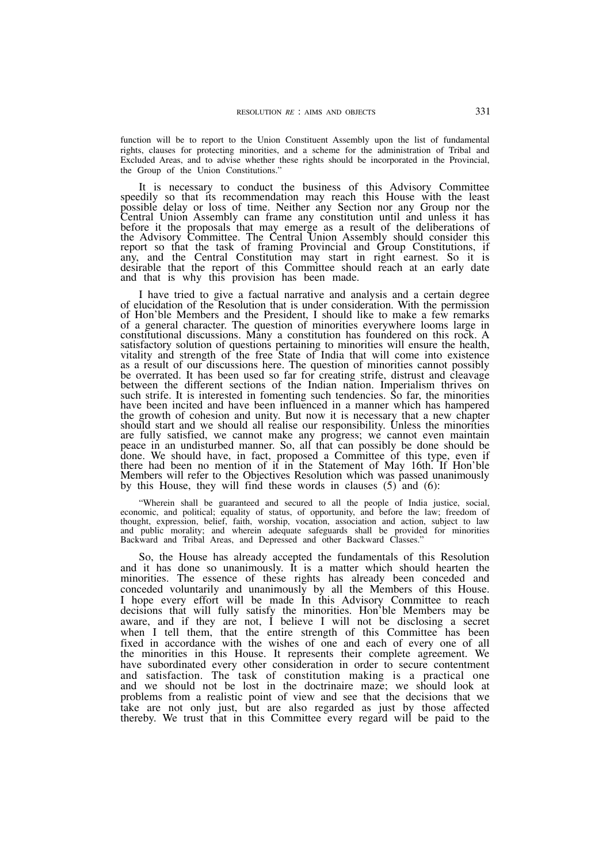function will be to report to the Union Constituent Assembly upon the list of fundamental rights, clauses for protecting minorities, and a scheme for the administration of Tribal and Excluded Areas, and to advise whether these rights should be incorporated in the Provincial, the Group of the Union Constitutions."

It is necessary to conduct the business of this Advisory Committee speedily so that its recommendation may reach this House with the least possible delay or loss of time. Neither any Section nor any Group nor the Central Union Assembly can frame any constitution until and unless it has before it the proposals that may emerge as a result of the deliberations of the Advisory Committee. The Central Union Assembly should consider this report so that the task of framing Provincial and Group Constitutions, if any, and the Central Constitution may start in right earnest. So it is desirable that the report of this Committee should reach at an early date and that is why this provision has been made.

I have tried to give a factual narrative and analysis and a certain degree of elucidation of the Resolution that is under consideration. With the permission of Hon'ble Members and the President, I should like to make a few remarks of a general character. The question of minorities everywhere looms large in constitutional discussions. Many a constitution has foundered on this rock. A satisfactory solution of questions pertaining to minorities will ensure the health, vitality and strength of the free State of India that will come into existence as a result of our discussions here. The question of minorities cannot possibly be overrated. It has been used so far for creating strife, distrust and cleavage between the different sections of the Indian nation. Imperialism thrives on such strife. It is interested in fomenting such tendencies. So far, the minorities have been incited and have been influenced in a manner which has hampered the growth of cohesion and unity. But now it is necessary that a new chapter should start and we should all realise our responsibility. Unless the minorities are fully satisfied, we cannot make any progress; we cannot even maintain peace in an undisturbed manner. So, all that can possibly be done should be done. We should have, in fact, proposed a Committee of this type, even if there had been no mention of it in the Statement of May 16th. If Hon'ble Members will refer to the Objectives Resolution which was passed unanimously by this House, they will find these words in clauses  $(5)$  and  $(6)$ :

"Wherein shall be guaranteed and secured to all the people of India justice, social, economic, and political; equality of status, of opportunity, and before the law; freedom of thought, expression, belief, faith, worship, vocation, association and action, subject to law and public morality; and wherein adequate safeguards shall be provided for minorities Backward and Tribal Areas, and Depressed and other Backward Classes."

So, the House has already accepted the fundamentals of this Resolution and it has done so unanimously. It is a matter which should hearten the minorities. The essence of these rights has already been conceded and conceded voluntarily and unanimously by all the Members of this House. I hope every effort will be made In this Advisory Committee to reach decisions that will fully satisfy the minorities. Hon'ble Members may be aware, and if they are not, I believe I will not be disclosing a secret when I tell them, that the entire strength of this Committee has been fixed in accordance with the wishes of one and each of every one of all the minorities in this House. It represents their complete agreement. We have subordinated every other consideration in order to secure contentment and satisfaction. The task of constitution making is a practical one and we should not be lost in the doctrinaire maze; we should look at problems from a realistic point of view and see that the decisions that we take are not only just, but are also regarded as just by those affected thereby. We trust that in this Committee every regard will be paid to the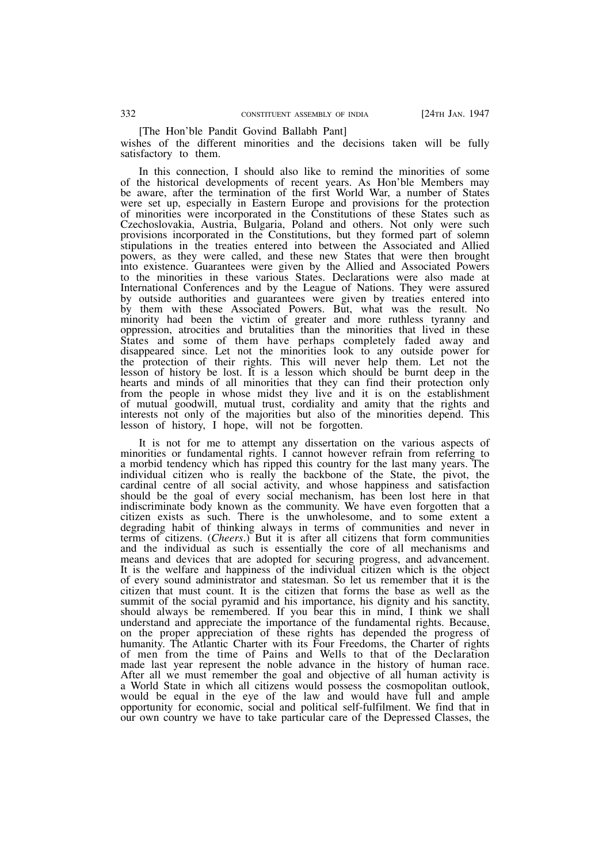[The Hon'ble Pandit Govind Ballabh Pant]

wishes of the different minorities and the decisions taken will be fully satisfactory to them.

In this connection, I should also like to remind the minorities of some of the historical developments of recent years. As Hon'ble Members may be aware, after the termination of the first World War, a number of States were set up, especially in Eastern Europe and provisions for the protection of minorities were incorporated in the Constitutions of these States such as Czechoslovakia, Austria, Bulgaria, Poland and others. Not only were such provisions incorporated in the Constitutions, but they formed part of solemn stipulations in the treaties entered into between the Associated and Allied powers, as they were called, and these new States that were then brought into existence. Guarantees were given by the Allied and Associated Powers to the minorities in these various States. Declarations were also made at International Conferences and by the League of Nations. They were assured by outside authorities and guarantees were given by treaties entered into by them with these Associated Powers. But, what was the result. No minority had been the victim of greater and more ruthless tyranny and oppression, atrocities and brutalities than the minorities that lived in these States and some of them have perhaps completely faded away and disappeared since. Let not the minorities look to any outside power for the protection of their rights. This will never help them. Let not the lesson of history be lost. It is a lesson which should be burnt deep in the hearts and minds of all minorities that they can find their protection only from the people in whose midst they live and it is on the establishment of mutual goodwill, mutual trust, cordiality and amity that the rights and interests not only of the majorities but also of the minorities depend. This lesson of history, I hope, will not be forgotten.

It is not for me to attempt any dissertation on the various aspects of minorities or fundamental rights. I cannot however refrain from referring to a morbid tendency which has ripped this country for the last many years. The individual citizen who is really the backbone of the State, the pivot, the cardinal centre of all social activity, and whose happiness and satisfaction should be the goal of every social mechanism, has been lost here in that indiscriminate body known as the community. We have even forgotten that a citizen exists as such. There is the unwholesome, and to some extent a degrading habit of thinking always in terms of communities and never in terms of citizens. (*Cheers*.) But it is after all citizens that form communities and the individual as such is essentially the core of all mechanisms and means and devices that are adopted for securing progress, and advancement. It is the welfare and happiness of the individual citizen which is the object of every sound administrator and statesman. So let us remember that it is the citizen that must count. It is the citizen that forms the base as well as the summit of the social pyramid and his importance, his dignity and his sanctity, should always be remembered. If you bear this in mind, I think we shall understand and appreciate the importance of the fundamental rights. Because, on the proper appreciation of these rights has depended the progress of humanity. The Atlantic Charter with its Four Freedoms, the Charter of rights of men from the time of Pains and Wells to that of the Declaration made last year represent the noble advance in the history of human race. After all we must remember the goal and objective of all human activity is a World State in which all citizens would possess the cosmopolitan outlook, would be equal in the eye of the law and would have full and ample opportunity for economic, social and political self-fulfilment. We find that in our own country we have to take particular care of the Depressed Classes, the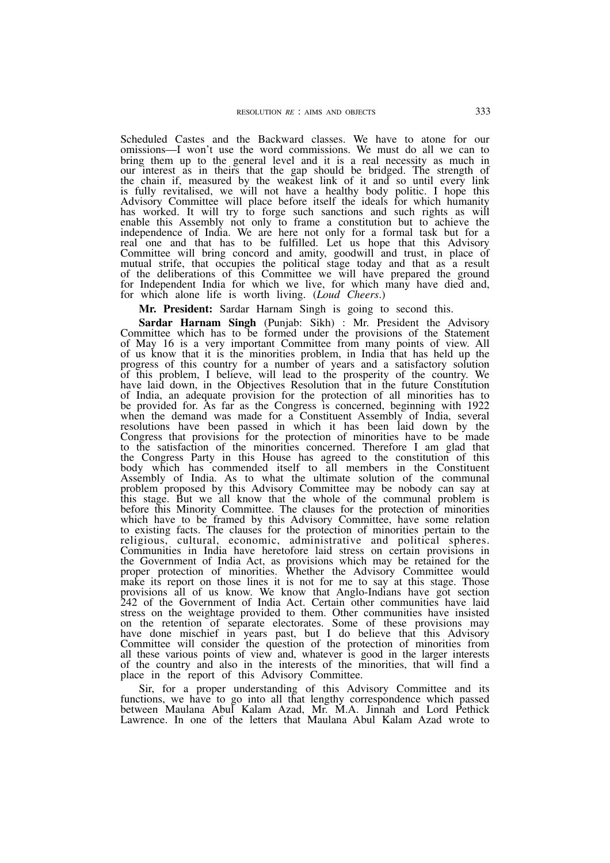Scheduled Castes and the Backward classes. We have to atone for our omissions—I won't use the word commissions. We must do all we can to bring them up to the general level and it is a real necessity as much in our interest as in theirs that the gap should be bridged. The strength of the chain if, measured by the weakest link of it and so until every link is fully revitalised, we will not have a healthy body politic. I hope this Advisory Committee will place before itself the ideals for which humanity has worked. It will try to forge such sanctions and such rights as will enable this Assembly not only to frame a constitution but to achieve the independence of India. We are here not only for a formal task but for a real one and that has to be fulfilled. Let us hope that this Advisory Committee will bring concord and amity, goodwill and trust, in place of mutual strife, that occupies the political stage today and that as a result of the deliberations of this Committee we will have prepared the ground for Independent India for which we live, for which many have died and, for which alone life is worth living. (*Loud Cheers*.)

**Mr. President:** Sardar Harnam Singh is going to second this.

**Sardar Harnam Singh** (Punjab: Sikh) : Mr. President the Advisory Committee which has to be formed under the provisions of the Statement of May 16 is a very important Committee from many points of view. All of us know that it is the minorities problem, in India that has held up the progress of this country for a number of years and a satisfactory solution of this problem, I believe, will lead to the prosperity of the country. We have laid down, in the Objectives Resolution that in the future Constitution of India, an adequate provision for the protection of all minorities has to be provided for. As far as the Congress is concerned, beginning with 1922 when the demand was made for a Constituent Assembly of India, several resolutions have been passed in which it has been laid down by the Congress that provisions for the protection of minorities have to be made to the satisfaction of the minorities concerned. Therefore I am glad that the Congress Party in this House has agreed to the constitution of this body which has commended itself to all members in the Constituent Assembly of India. As to what the ultimate solution of the communal problem proposed by this Advisory Committee may be nobody can say at this stage. But we all know that the whole of the communal problem is before this Minority Committee. The clauses for the protection of minorities which have to be framed by this Advisory Committee, have some relation to existing facts. The clauses for the protection of minorities pertain to the religious, cultural, economic, administrative and political spheres. Communities in India have heretofore laid stress on certain provisions in the Government of India Act, as provisions which may be retained for the proper protection of minorities. Whether the Advisory Committee would make its report on those lines it is not for me to say at this stage. Those provisions all of us know. We know that Anglo-Indians have got section 242 of the Government of India Act. Certain other communities have laid stress on the weightage provided to them. Other communities have insisted on the retention of separate electorates. Some of these provisions may have done mischief in years past, but I do believe that this Advisory Committee will consider the question of the protection of minorities from all these various points of view and, whatever is good in the larger interests of the country and also in the interests of the minorities, that will find a place in the report of this Advisory Committee.

Sir, for a proper understanding of this Advisory Committee and its functions, we have to go into all that lengthy correspondence which passed between Maulana Abul Kalam Azad, Mr. M.A. Jinnah and Lord Pethick Lawrence. In one of the letters that Maulana Abul Kalam Azad wrote to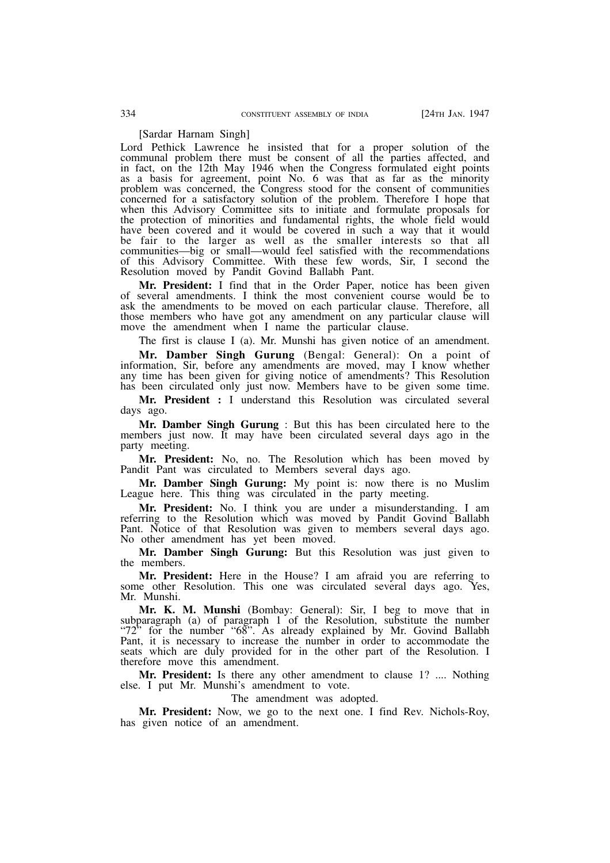[Sardar Harnam Singh]

Lord Pethick Lawrence he insisted that for a proper solution of the communal problem there must be consent of all the parties affected, and in fact, on the 12th May 1946 when the Congress formulated eight points as a basis for agreement, point No. 6 was that as far as the minority problem was concerned, the Congress stood for the consent of communities concerned for a satisfactory solution of the problem. Therefore I hope that when this Advisory Committee sits to initiate and formulate proposals for the protection of minorities and fundamental rights, the whole field would have been covered and it would be covered in such a way that it would be fair to the larger as well as the smaller interests so that all communities—big or small—would feel satisfied with the recommendations of this Advisory Committee. With these few words, Sir, I second the Resolution moved by Pandit Govind Ballabh Pant.

**Mr. President:** I find that in the Order Paper, notice has been given of several amendments. I think the most convenient course would be to ask the amendments to be moved on each particular clause. Therefore, all those members who have got any amendment on any particular clause will move the amendment when I name the particular clause.

The first is clause I (a). Mr. Munshi has given notice of an amendment.

**Mr. Damber Singh Gurung** (Bengal: General): On a point of information, Sir, before any amendments are moved, may I know whether any time has been given for giving notice of amendments? This Resolution has been circulated only just now. Members have to be given some time.

**Mr. President :** I understand this Resolution was circulated several days ago.

**Mr. Damber Singh Gurung** : But this has been circulated here to the members just now. It may have been circulated several days ago in the party meeting.

**Mr. President:** No, no. The Resolution which has been moved by Pandit Pant was circulated to Members several days ago.

**Mr. Damber Singh Gurung:** My point is: now there is no Muslim League here. This thing was circulated in the party meeting.

**Mr. President:** No. I think you are under a misunderstanding. I am referring to the Resolution which was moved by Pandit Govind Ballabh Pant. Notice of that Resolution was given to members several days ago. No other amendment has yet been moved.

**Mr. Damber Singh Gurung:** But this Resolution was just given to the members.

**Mr. President:** Here in the House? I am afraid you are referring to some other Resolution. This one was circulated several days ago. Yes, Mr. Munshi.

**Mr. K. M. Munshi** (Bombay: General): Sir, I beg to move that in subparagraph (a) of paragraph 1 of the Resolution, substitute the number "72" for the number "68". As already explained by Mr. Govind Ballabh Pant, it is necessary to increase the number in order to accommodate the seats which are duly provided for in the other part of the Resolution. I therefore move this amendment.

**Mr. President:** Is there any other amendment to clause 1? .... Nothing else. I put Mr. Munshi's amendment to vote.

The amendment was adopted.

**Mr. President:** Now, we go to the next one. I find Rev. Nichols-Roy, has given notice of an amendment.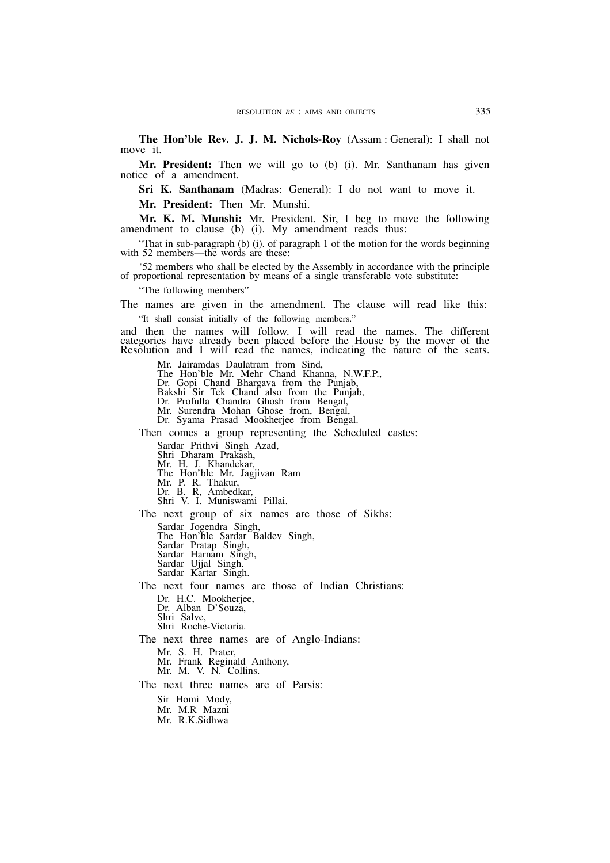**The Hon'ble Rev. J. J. M. Nichols-Roy** (Assam : General): I shall not move it.

**Mr. President:** Then we will go to (b) (i). Mr. Santhanam has given notice of a amendment.

**Sri K. Santhanam** (Madras: General): I do not want to move it.

**Mr. President:** Then Mr. Munshi.

**Mr. K. M. Munshi:** Mr. President. Sir, I beg to move the following amendment to clause (b) (i). My amendment reads thus:

"That in sub-paragraph (b) (i). of paragraph 1 of the motion for the words beginning with 52 members—the words are these:

'52 members who shall be elected by the Assembly in accordance with the principle of proportional representation by means of a single transferable vote substitute:

"The following members"

The names are given in the amendment. The clause will read like this: "It shall consist initially of the following members."

and then the names will follow. I will read the names. The different categories have already been placed before the House by the mover of the Resolution and I will read the names, indicating the nature of the seats.

Mr. Jairamdas Daulatram from Sind,

The Hon'ble Mr. Mehr Chand Khanna, N.W.F.P.,

Dr. Gopi Chand Bhargava from the Punjab,

Bakshi Sir Tek Chand also from the Punjab, Dr. Profulla Chandra Ghosh from Bengal,

Mr. Surendra Mohan Ghose from, Bengal,

Dr. Syama Prasad Mookherjee from Bengal.

Then comes a group representing the Scheduled castes:

Sardar Prithvi Singh Azad,

Shri Dharam Prakash,

Mr. H. J. Khandekar,

The Hon'ble Mr. Jagjivan Ram

Mr. P. R. Thakur,

Dr. B. R, Ambedkar,

Shri V. I. Muniswami Pillai.

The next group of six names are those of Sikhs:

Sardar Jogendra Singh,

The Hon'ble Sardar Baldev Singh,

Sardar Pratap Singh,

Sardar Harnam Singh,

Sardar Ujjal Singh.

Sardar Kartar Singh.

The next four names are those of Indian Christians:

Dr. H.C. Mookherjee,

Dr. Alban D'Souza,

Shri Salve,

Shri Roche-Victoria.

The next three names are of Anglo-Indians:

Mr. S. H. Prater,

Mr. Frank Reginald Anthony,

Mr. M. V. N. Collins.

The next three names are of Parsis:

Sir Homi Mody,

Mr. M.R Mazni

Mr. R.K.Sidhwa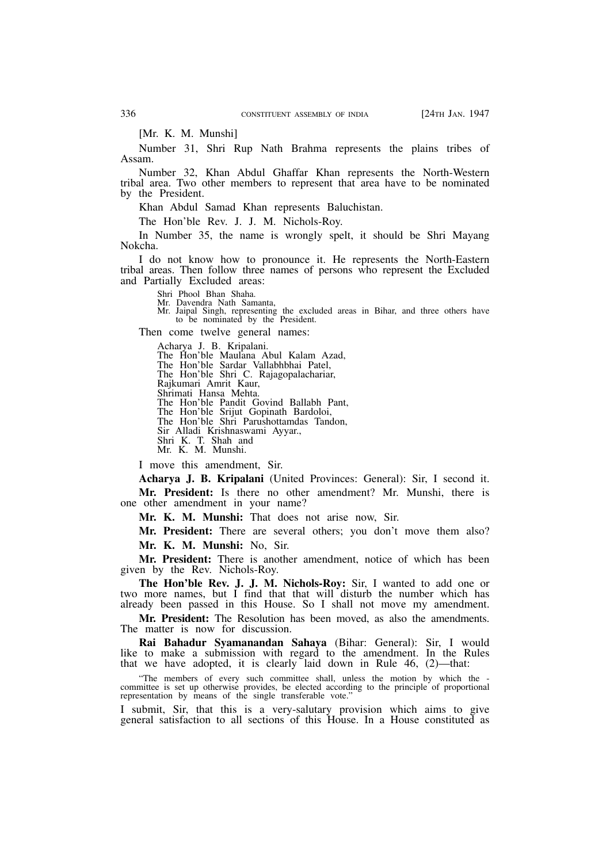[Mr. K. M. Munshi]

Number 31, Shri Rup Nath Brahma represents the plains tribes of Assam.

Number 32, Khan Abdul Ghaffar Khan represents the North-Western tribal area. Two other members to represent that area have to be nominated by the President.

Khan Abdul Samad Khan represents Baluchistan.

The Hon'ble Rev. J. J. M. Nichols-Roy.

In Number 35, the name is wrongly spelt, it should be Shri Mayang Nokcha.

I do not know how to pronounce it. He represents the North-Eastern tribal areas. Then follow three names of persons who represent the Excluded and Partially Excluded areas:

Shri Phool Bhan Shaha.

Mr. Davendra Nath Samanta,

Mr. Jaipal Singh, representing the excluded areas in Bihar, and three others have to be nominated by the President.

Then come twelve general names:

Acharya J. B. Kripalani. The Hon'ble Maulana Abul Kalam Azad, The Hon'ble Sardar Vallabhbhai Patel, The Hon'ble Shri C. Rajagopalachariar, Rajkumari Amrit Kaur, Shrimati Hansa Mehta. The Hon'ble Pandit Govind Ballabh Pant, The Hon'ble Srijut Gopinath Bardoloi, The Hon'ble Shri Parushottamdas Tandon, Sir Alladi Krishnaswami Ayyar., Shri K. T. Shah and Mr. K. M. Munshi.

I move this amendment, Sir.

**Acharya J. B. Kripalani** (United Provinces: General): Sir, I second it. **Mr. President:** Is there no other amendment? Mr. Munshi, there is one other amendment in your name?

**Mr. K. M. Munshi:** That does not arise now, Sir.

**Mr. President:** There are several others; you don't move them also? **Mr. K. M. Munshi:** No, Sir.

**Mr. President:** There is another amendment, notice of which has been given by the Rev. Nichols-Roy.

**The Hon'ble Rev. J. J. M. Nichols-Roy:** Sir, I wanted to add one or two more names, but  $\overline{I}$  find that that will disturb the number which has already been passed in this House. So I shall not move my amendment.

**Mr. President:** The Resolution has been moved, as also the amendments. The matter is now for discussion.

**Rai Bahadur Syamanandan Sahaya** (Bihar: General): Sir, I would like to make a submission with regard to the amendment. In the Rules that we have adopted, it is clearly laid down in Rule 46, (2)—that:

"The members of every such committee shall, unless the motion by which the committee is set up otherwise provides, be elected according to the principle of proportional representation by means of the single transferable vote."

I submit, Sir, that this is a very-salutary provision which aims to give general satisfaction to all sections of this House. In a House constituted as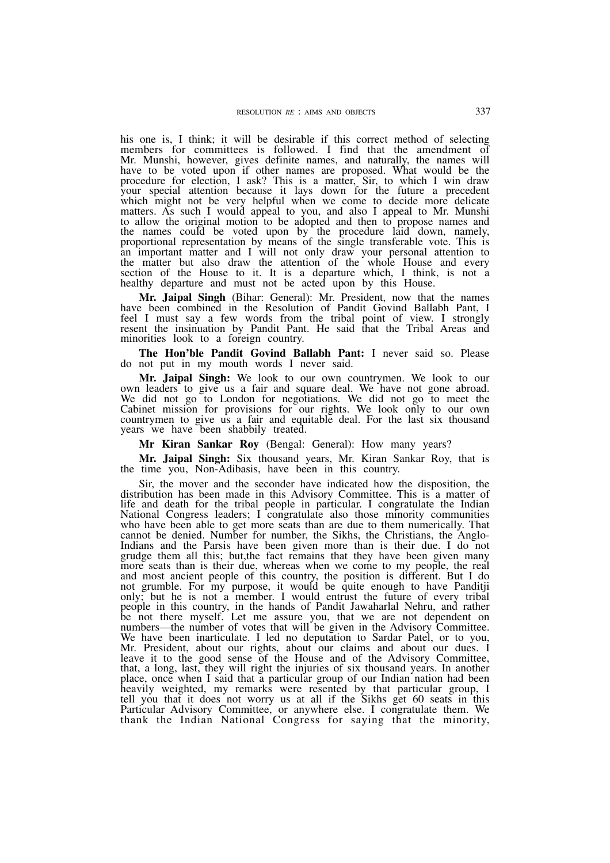his one is, I think; it will be desirable if this correct method of selecting members for committees is followed. I find that the amendment of Mr. Munshi, however, gives definite names, and naturally, the names will have to be voted upon if other names are proposed. What would be the procedure for election, I ask? This is a matter, Sir, to which I win draw your special attention because it lays down for the future a precedent which might not be very helpful when we come to decide more delicate matters. As such I would appeal to you, and also I appeal to Mr. Munshi to allow the original motion to be adopted and then to propose names and the names could be voted upon by the procedure laid down, namely, proportional representation by means of the single transferable vote. This is an important matter and I will not only draw your personal attention to the matter but also draw the attention of the whole House and every section of the House to it. It is a departure which, I think, is not a healthy departure and must not be acted upon by this House.

**Mr. Jaipal Singh** (Bihar: General): Mr. President, now that the names have been combined in the Resolution of Pandit Govind Ballabh Pant, I feel I must say a few words from the tribal point of view. I strongly resent the insinuation by Pandit Pant. He said that the Tribal Areas and minorities look to a foreign country.

**The Hon'ble Pandit Govind Ballabh Pant:** I never said so. Please do not put in my mouth words I never said.

**Mr. Jaipal Singh:** We look to our own countrymen. We look to our own leaders to give us a fair and square deal. We have not gone abroad. We did not go to London for negotiations. We did not go to meet the Cabinet mission for provisions for our rights. We look only to our own countrymen to give us a fair and equitable deal. For the last six thousand years we have been shabbily treated.

**Mr Kiran Sankar Roy** (Bengal: General): How many years?

**Mr. Jaipal Singh:** Six thousand years, Mr. Kiran Sankar Roy, that is the time you, Non-Adibasis, have been in this country.

Sir, the mover and the seconder have indicated how the disposition, the distribution has been made in this Advisory Committee. This is a matter of life and death for the tribal people in particular. I congratulate the Indian National Congress leaders; I congratulate also those minority communities who have been able to get more seats than are due to them numerically. That cannot be denied. Number for number, the Sikhs, the Christians, the Anglo-Indians and the Parsis have been given more than is their due. I do not grudge them all this; but,the fact remains that they have been given many more seats than is their due, whereas when we come to my people, the real and most ancient people of this country, the position is different. But I do not grumble. For my purpose, it would be quite enough to have Panditji only; but he is not a member. I would entrust the future of every tribal people in this country, in the hands of Pandit Jawaharlal Nehru, and rather be not there myself. Let me assure you, that we are not dependent on numbers—the number of votes that will be given in the Advisory Committee. We have been inarticulate. I led no deputation to Sardar Patel, or to you, Mr. President, about our rights, about our claims and about our dues. I leave it to the good sense of the House and of the Advisory Committee, that, a long, last, they will right the injuries of six thousand years. In another place, once when I said that a particular group of our Indian nation had been heavily weighted, my remarks were resented by that particular group, I tell you that it does not worry us at all if the Sikhs get 60 seats in this Particular Advisory Committee, or anywhere else. I congratulate them. We thank the Indian National Congress for saying that the minority,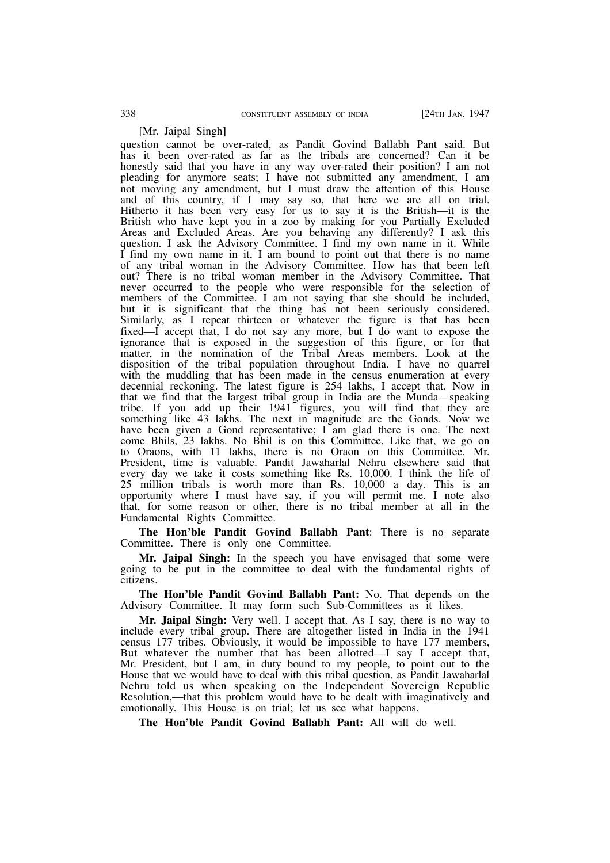[Mr. Jaipal Singh]

question cannot be over-rated, as Pandit Govind Ballabh Pant said. But has it been over-rated as far as the tribals are concerned? Can it be honestly said that you have in any way over-rated their position? I am not pleading for anymore seats; I have not submitted any amendment, I am not moving any amendment, but I must draw the attention of this House and of this country, if I may say so, that here we are all on trial. Hitherto it has been very easy for us to say it is the British—it is the British who have kept you in a zoo by making for you Partially Excluded Areas and Excluded Areas. Are you behaving any differently? I ask this question. I ask the Advisory Committee. I find my own name in it. While  $\hat{I}$  find my own name in it, I am bound to point out that there is no name of any tribal woman in the Advisory Committee. How has that been left out? There is no tribal woman member in the Advisory Committee. That never occurred to the people who were responsible for the selection of members of the Committee. I am not saying that she should be included, but it is significant that the thing has not been seriously considered. Similarly, as I repeat thirteen or whatever the figure is that has been fixed—I accept that, I do not say any more, but I do want to expose the ignorance that is exposed in the suggestion of this figure, or for that matter, in the nomination of the Tribal Areas members. Look at the disposition of the tribal population throughout India. I have no quarrel with the muddling that has been made in the census enumeration at every decennial reckoning. The latest figure is 254 lakhs, I accept that. Now in that we find that the largest tribal group in India are the Munda—speaking tribe. If you add up their 1941 figures, you will find that they are something like 43 lakhs. The next in magnitude are the Gonds. Now we have been given a Gond representative; I am glad there is one. The next come Bhils, 23 lakhs. No Bhil is on this Committee. Like that, we go on to Oraons, with 11 lakhs, there is no Oraon on this Committee. Mr. President, time is valuable. Pandit Jawaharlal Nehru elsewhere said that every day we take it costs something like Rs. 10,000. I think the life of 25 million tribals is worth more than Rs. 10,000 a day. This is an opportunity where I must have say, if you will permit me. I note also that, for some reason or other, there is no tribal member at all in the Fundamental Rights Committee.

**The Hon'ble Pandit Govind Ballabh Pant**: There is no separate Committee. There is only one Committee.

**Mr. Jaipal Singh:** In the speech you have envisaged that some were going to be put in the committee to deal with the fundamental rights of citizens.

**The Hon'ble Pandit Govind Ballabh Pant:** No. That depends on the Advisory Committee. It may form such Sub-Committees as it likes.

**Mr. Jaipal Singh:** Very well. I accept that. As I say, there is no way to include every tribal group. There are altogether listed in India in the 1941 census 177 tribes. Obviously, it would be impossible to have 177 members, But whatever the number that has been allotted—I say I accept that, Mr. President, but I am, in duty bound to my people, to point out to the House that we would have to deal with this tribal question, as Pandit Jawaharlal Nehru told us when speaking on the Independent Sovereign Republic Resolution,—that this problem would have to be dealt with imaginatively and emotionally. This House is on trial; let us see what happens.

**The Hon'ble Pandit Govind Ballabh Pant:** All will do well.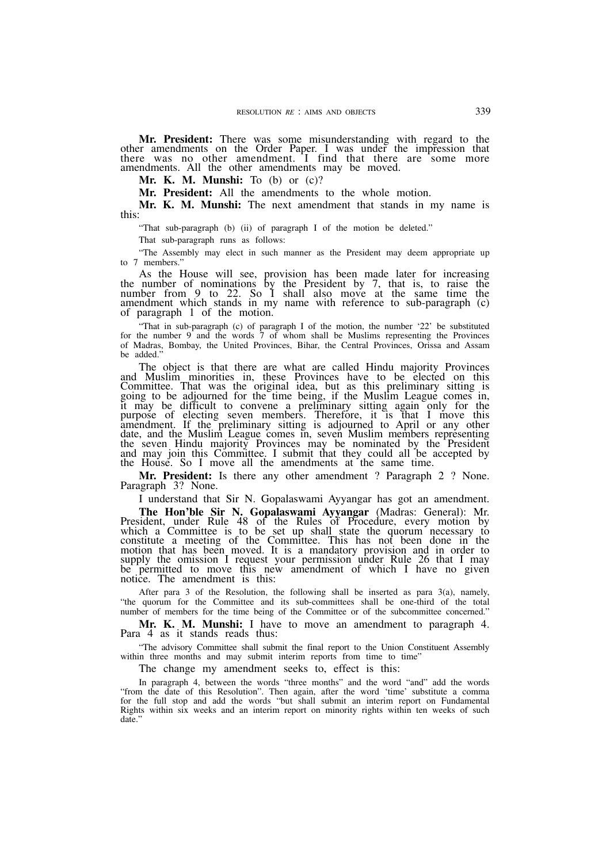**Mr. President:** There was some misunderstanding with regard to the other amendments on the Order Paper. I was under the impression that there was no other amendment. I find that there are some more amendments. All the other amendments may be moved.

**Mr. K. M. Munshi:** To (b) or (c)?

**Mr. President:** All the amendments to the whole motion.

Mr. K. M. Munshi: The next amendment that stands in my name is this:

"That sub-paragraph (b) (ii) of paragraph I of the motion be deleted."

That sub-paragraph runs as follows:

"The Assembly may elect in such manner as the President may deem appropriate up to 7 members."

As the House will see, provision has been made later for increasing the number of nominations by the President by 7, that is, to raise the number from 9 to 22. So I shall also move at the same time the amendment which stands in my name with reference to sub-paragraph (c) of paragraph 1 of the motion.

"That in sub-paragraph (c) of paragraph I of the motion, the number '22' be substituted for the number 9 and the words 7 of whom shall be Muslims representing the Provinces of Madras, Bombay, the United Provinces, Bihar, the Central Provinces, Orissa and Assam be added."

The object is that there are what are called Hindu majority Provinces and Muslim minorities in, these Provinces have to be elected on this Committee. That was the original idea, but as this preliminary sitting is going to be adjourned for the time being, if the Muslim League comes in, it may be difficult to convene a preliminary sitting again only for the purpose of electing seven members. Therefore, it is that I move this amendment. If the preliminary sitting is adjourned to April or any other date, and the Muslim League comes in, seven Muslim members representing the seven Hindu majority Provinces may be nominated by the President and may join this Committee. I submit that they could all be accepted by the House. So I move all the amendments at the same time.

**Mr. President:** Is there any other amendment ? Paragraph 2 ? None. Paragraph 3? None.

I understand that Sir N. Gopalaswami Ayyangar has got an amendment.

**The Hon'ble Sir N. Gopalaswami Ayyangar** (Madras: General): Mr. President, under Rule 48 of the Rules of Procedure, every motion by which a Committee is to be set up shall state the quorum necessary to constitute a meeting of the Committee. This has not been done in the motion that has been moved. It is a mandatory provision and in order to supply the omission I request your permission under Rule 26 that I may be permitted to move this new amendment of which I have no given notice. The amendment is this:

After para 3 of the Resolution, the following shall be inserted as para 3(a), namely, "the quorum for the Committee and its sub-committees shall be one-third of the total number of members for the time being of the Committee or of the subcommittee concerned."

**Mr. K. M. Munshi:** I have to move an amendment to paragraph 4. Para 4 as it stands reads thus:

"The advisory Committee shall submit the final report to the Union Constituent Assembly within three months and may submit interim reports from time to time"

The change my amendment seeks to, effect is this:

In paragraph 4, between the words "three months" and the word "and" add the words "from the date of this Resolution". Then again, after the word 'time' substitute a comma for the full stop and add the words "but shall submit an interim report on Fundamental Rights within six weeks and an interim report on minority rights within ten weeks of such date.'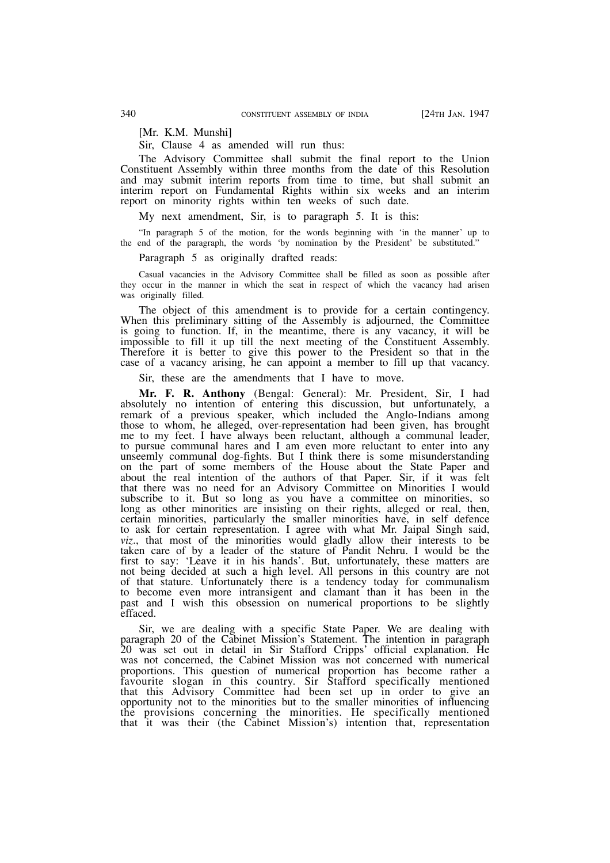[Mr. K.M. Munshi]

Sir, Clause 4 as amended will run thus:

The Advisory Committee shall submit the final report to the Union Constituent Assembly within three months from the date of this Resolution and may submit interim reports from time to time, but shall submit an interim report on Fundamental Rights within six weeks and an interim report on minority rights within ten weeks of such date.

My next amendment, Sir, is to paragraph 5. It is this:

"In paragraph 5 of the motion, for the words beginning with 'in the manner' up to the end of the paragraph, the words 'by nomination by the President' be substituted."

Paragraph 5 as originally drafted reads:

Casual vacancies in the Advisory Committee shall be filled as soon as possible after they occur in the manner in which the seat in respect of which the vacancy had arisen was originally filled.

The object of this amendment is to provide for a certain contingency. When this preliminary sitting of the Assembly is adjourned, the Committee is going to function. If, in the meantime, there is any vacancy, it will be impossible to fill it up till the next meeting of the Constituent Assembly. Therefore it is better to give this power to the President so that in the case of a vacancy arising, he can appoint a member to fill up that vacancy.

Sir, these are the amendments that I have to move.

**Mr. F. R. Anthony** (Bengal: General): Mr. President, Sir, I had absolutely no intention of entering this discussion, but unfortunately, a remark of a previous speaker, which included the Anglo-Indians among those to whom, he alleged, over-representation had been given, has brought me to my feet. I have always been reluctant, although a communal leader, to pursue communal hares and I am even more reluctant to enter into any unseemly communal dog-fights. But I think there is some misunderstanding on the part of some members of the House about the State Paper and about the real intention of the authors of that Paper. Sir, if it was felt that there was no need for an Advisory Committee on Minorities I would subscribe to it. But so long as you have a committee on minorities, so long as other minorities are insisting on their rights, alleged or real, then, certain minorities, particularly the smaller minorities have, in self defence to ask for certain representation. I agree with what Mr. Jaipal Singh said, *viz*., that most of the minorities would gladly allow their interests to be taken care of by a leader of the stature of Pandit Nehru. I would be the first to say: 'Leave it in his hands'. But, unfortunately, these matters are not being decided at such a high level. All persons in this country are not of that stature. Unfortunately there is a tendency today for communalism to become even more intransigent and clamant than it has been in the past and I wish this obsession on numerical proportions to be slightly effaced.

Sir, we are dealing with a specific State Paper. We are dealing with paragraph 20 of the Cabinet Mission's Statement. The intention in paragraph 20 was set out in detail in Sir Stafford Cripps' official explanation. He was not concerned, the Cabinet Mission was not concerned with numerical proportions. This question of numerical proportion has become rather a favourite slogan in this country. Sir Stafford specifically mentioned that this Advisory Committee had been set up in order to give an opportunity not to the minorities but to the smaller minorities of influencing the provisions concerning the minorities. He specifically mentioned that it was their (the Cabinet Mission's) intention that, representation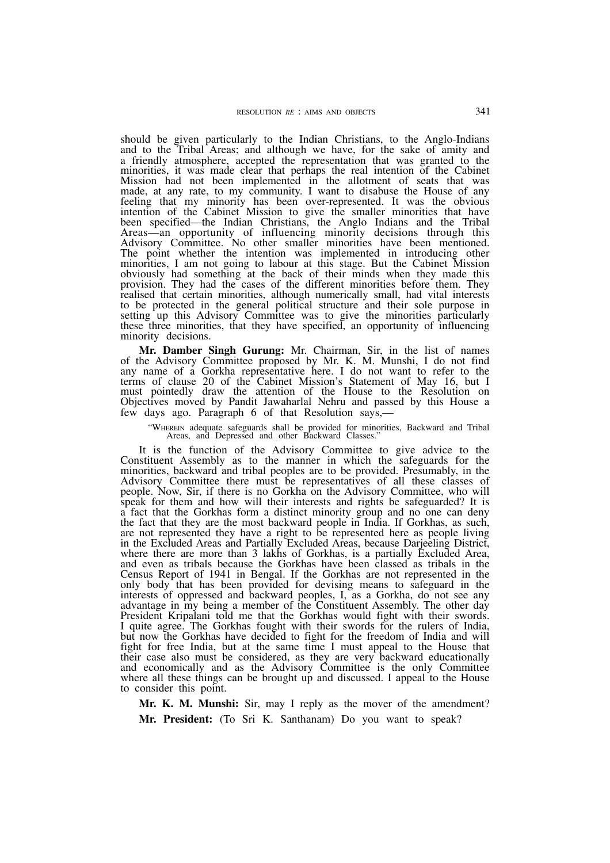should be given particularly to the Indian Christians, to the Anglo-Indians and to the Tribal Areas; and although we have, for the sake of amity and a friendly atmosphere, accepted the representation that was granted to the minorities, it was made clear that perhaps the real intention of the Cabinet Mission had not been implemented in the allotment of seats that was made, at any rate, to my community. I want to disabuse the House of any feeling that my minority has been over-represented. It was the obvious intention of the Cabinet Mission to give the smaller minorities that have been specified—the Indian Christians, the Anglo Indians and the Tribal Areas—an opportunity of influencing minority decisions through this Advisory Committee. No other smaller minorities have been mentioned. The point whether the intention was implemented in introducing other minorities, I am not going to labour at this stage. But the Cabinet Mission obviously had something at the back of their minds when they made this provision. They had the cases of the different minorities before them. They realised that certain minorities, although numerically small, had vital interests to be protected in the general political structure and their sole purpose in setting up this Advisory Committee was to give the minorities particularly these three minorities, that they have specified, an opportunity of influencing minority decisions.

**Mr. Damber Singh Gurung:** Mr. Chairman, Sir, in the list of names of the Advisory Committee proposed by Mr. K. M. Munshi, I do not find any name of a Gorkha representative here. I do not want to refer to the terms of clause 20 of the Cabinet Mission's Statement of May 16, but I must pointedly draw the attention of the House to the Resolution on Objectives moved by Pandit Jawaharlal Nehru and passed by this House a few days ago. Paragraph 6 of that Resolution says,—

"WHEREIN adequate safeguards shall be provided for minorities, Backward and Tribal Areas, and Depressed and other Backward Classes.

It is the function of the Advisory Committee to give advice to the Constituent Assembly as to the manner in which the safeguards for the minorities, backward and tribal peoples are to be provided. Presumably, in the Advisory Committee there must be representatives of all these classes of people. Now, Sir, if there is no Gorkha on the Advisory Committee, who will speak for them and how will their interests and rights be safeguarded? It is a fact that the Gorkhas form a distinct minority group and no one can deny the fact that they are the most backward people in India. If Gorkhas, as such, are not represented they have a right to be represented here as people living in the Excluded Areas and Partially Excluded Areas, because Darjeeling District, where there are more than 3 lakhs of Gorkhas, is a partially Excluded Area, and even as tribals because the Gorkhas have been classed as tribals in the Census Report of 1941 in Bengal. If the Gorkhas are not represented in the only body that has been provided for devising means to safeguard in the interests of oppressed and backward peoples, I, as a Gorkha, do not see any advantage in my being a member of the Constituent Assembly. The other day President Kripalani told me that the Gorkhas would fight with their swords. I quite agree. The Gorkhas fought with their swords for the rulers of India, but now the Gorkhas have decided to fight for the freedom of India and will fight for free India, but at the same time I must appeal to the House that their case also must be considered, as they are very backward educationally and economically and as the Advisory Committee is the only Committee where all these things can be brought up and discussed. I appeal to the House to consider this point.

**Mr. K. M. Munshi:** Sir, may I reply as the mover of the amendment?

**Mr. President:** (To Sri K. Santhanam) Do you want to speak?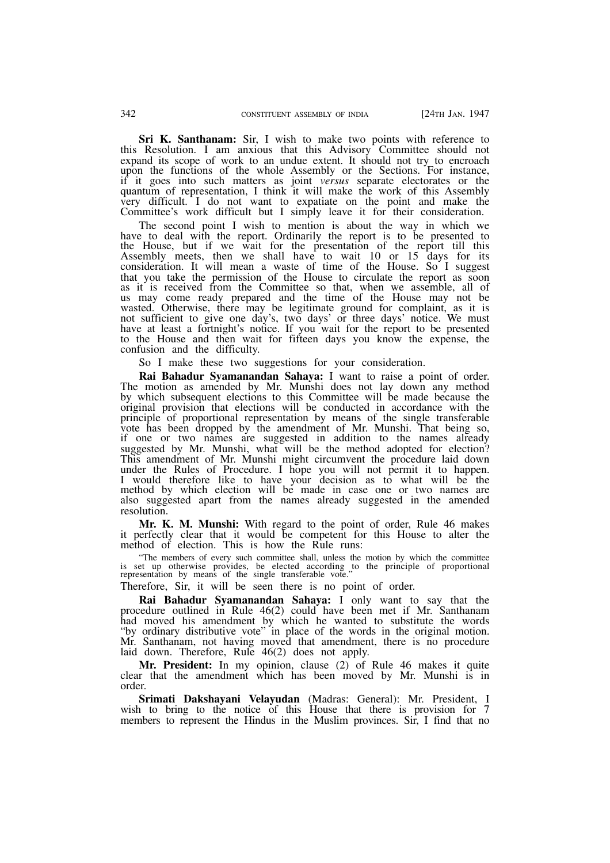**Sri K. Santhanam:** Sir, I wish to make two points with reference to this Resolution. I am anxious that this Advisory Committee should not expand its scope of work to an undue extent. It should not try to encroach upon the functions of the whole Assembly or the Sections. For instance, if it goes into such matters as joint *versus* separate electorates or the quantum of representation, I think it will make the work of this Assembly very difficult. I do not want to expatiate on the point and make the Committee's work difficult but I simply leave it for their consideration.

The second point I wish to mention is about the way in which we have to deal with the report. Ordinarily the report is to be presented to the House, but if we wait for the presentation of the report till this Assembly meets, then we shall have to wait 10 or 15 days for its consideration. It will mean a waste of time of the House. So I suggest that you take the permission of the House to circulate the report as soon as it is received from the Committee so that, when we assemble, all of us may come ready prepared and the time of the House may not be wasted. Otherwise, there may be legitimate ground for complaint, as it is not sufficient to give one day's, two days' or three days' notice. We must have at least a fortnight's notice. If you wait for the report to be presented to the House and then wait for fifteen days you know the expense, the confusion and the difficulty.

So I make these two suggestions for your consideration.

**Rai Bahadur Syamanandan Sahaya:** I want to raise a point of order. The motion as amended by Mr. Munshi does not lay down any method by which subsequent elections to this Committee will be made because the original provision that elections will be conducted in accordance with the principle of proportional representation by means of the single transferable vote has been dropped by the amendment of Mr. Munshi. That being so, if one or two names are suggested in addition to the names already suggested by Mr. Munshi, what will be the method adopted for election? This amendment of Mr. Munshi might circumvent the procedure laid down under the Rules of Procedure. I hope you will not permit it to happen. I would therefore like to have your decision as to what will be the method by which election will be made in case one or two names are also suggested apart from the names already suggested in the amended resolution.

**Mr. K. M. Munshi:** With regard to the point of order, Rule 46 makes it perfectly clear that it would be competent for this House to alter the method of election. This is how the Rule runs:

"The members of every such committee shall, unless the motion by which the committee is set up otherwise provides, be elected according to the principle of proportional representation by means of the single transferable vote."

Therefore, Sir, it will be seen there is no point of order.

**Rai Bahadur Syamanandan Sahaya:** I only want to say that the procedure outlined in Rule 46(2) could have been met if Mr. Santhanam had moved his amendment by which he wanted to substitute the words "by ordinary distributive vote" in place of the words in the original motion. Mr. Santhanam, not having moved that amendment, there is no procedure laid down. Therefore, Rule 46(2) does not apply.

**Mr. President:** In my opinion, clause (2) of Rule 46 makes it quite clear that the amendment which has been moved by Mr. Munshi is in order.

**Srimati Dakshayani Velayudan** (Madras: General): Mr. President, I wish to bring to the notice of this House that there is provision for 7 members to represent the Hindus in the Muslim provinces. Sir, I find that no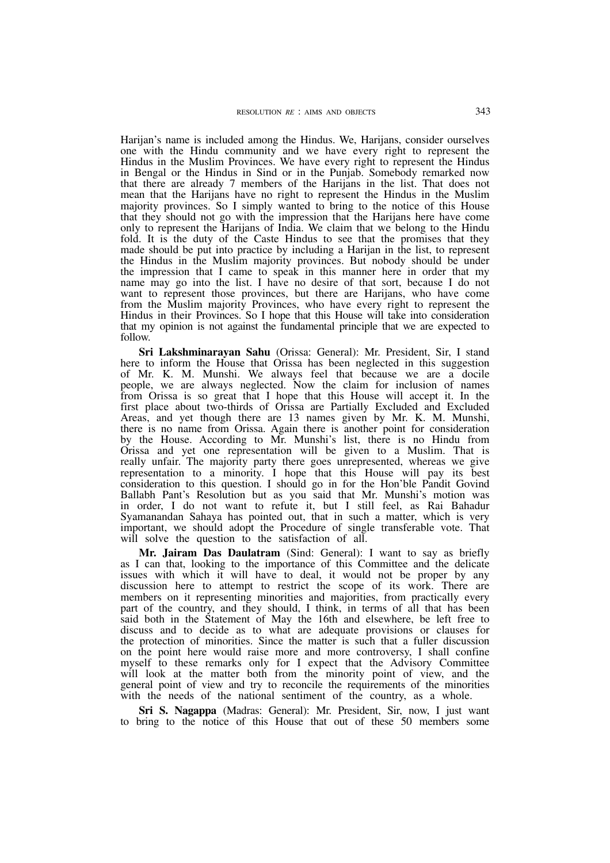Harijan's name is included among the Hindus. We, Harijans, consider ourselves one with the Hindu community and we have every right to represent the Hindus in the Muslim Provinces. We have every right to represent the Hindus in Bengal or the Hindus in Sind or in the Punjab. Somebody remarked now that there are already 7 members of the Harijans in the list. That does not mean that the Harijans have no right to represent the Hindus in the Muslim majority provinces. So I simply wanted to bring to the notice of this House that they should not go with the impression that the Harijans here have come only to represent the Harijans of India. We claim that we belong to the Hindu fold. It is the duty of the Caste Hindus to see that the promises that they made should be put into practice by including a Harijan in the list, to represent the Hindus in the Muslim majority provinces. But nobody should be under the impression that I came to speak in this manner here in order that my name may go into the list. I have no desire of that sort, because I do not want to represent those provinces, but there are Harijans, who have come from the Muslim majority Provinces, who have every right to represent the Hindus in their Provinces. So I hope that this House will take into consideration that my opinion is not against the fundamental principle that we are expected to follow.

**Sri Lakshminarayan Sahu** (Orissa: General): Mr. President, Sir, I stand here to inform the House that Orissa has been neglected in this suggestion of Mr. K. M. Munshi. We always feel that because we are a docile people, we are always neglected. Now the claim for inclusion of names from Orissa is so great that I hope that this House will accept it. In the first place about two-thirds of Orissa are Partially Excluded and Excluded Areas, and yet though there are 13 names given by Mr. K. M. Munshi, there is no name from Orissa. Again there is another point for consideration by the House. According to Mr. Munshi's list, there is no Hindu from Orissa and yet one representation will be given to a Muslim. That is really unfair. The majority party there goes unrepresented, whereas we give representation to a minority. I hope that this House will pay its best consideration to this question. I should go in for the Hon'ble Pandit Govind Ballabh Pant's Resolution but as you said that Mr. Munshi's motion was in order, I do not want to refute it, but I still feel, as Rai Bahadur Syamanandan Sahaya has pointed out, that in such a matter, which is very important, we should adopt the Procedure of single transferable vote. That will solve the question to the satisfaction of all.

**Mr. Jairam Das Daulatram** (Sind: General): I want to say as briefly as I can that, looking to the importance of this Committee and the delicate issues with which it will have to deal, it would not be proper by any discussion here to attempt to restrict the scope of its work. There are members on it representing minorities and majorities, from practically every part of the country, and they should, I think, in terms of all that has been said both in the Statement of May the 16th and elsewhere, be left free to discuss and to decide as to what are adequate provisions or clauses for the protection of minorities. Since the matter is such that a fuller discussion on the point here would raise more and more controversy, I shall confine myself to these remarks only for I expect that the Advisory Committee will look at the matter both from the minority point of view, and the general point of view and try to reconcile the requirements of the minorities with the needs of the national sentiment of the country, as a whole.

**Sri S. Nagappa** (Madras: General): Mr. President, Sir, now, I just want to bring to the notice of this House that out of these 50 members some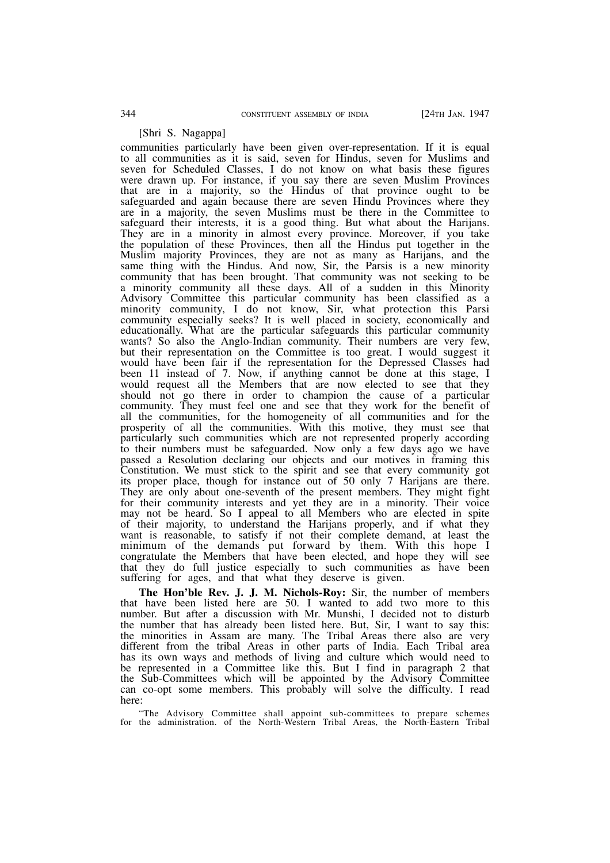#### [Shri S. Nagappa]

communities particularly have been given over-representation. If it is equal to all communities as it is said, seven for Hindus, seven for Muslims and seven for Scheduled Classes, I do not know on what basis these figures were drawn up. For instance, if you say there are seven Muslim Provinces that are in a majority, so the Hindus of that province ought to be safeguarded and again because there are seven Hindu Provinces where they are in a majority, the seven Muslims must be there in the Committee to safeguard their interests, it is a good thing. But what about the Harijans. They are in a minority in almost every province. Moreover, if you take the population of these Provinces, then all the Hindus put together in the Muslim majority Provinces, they are not as many as Harijans, and the same thing with the Hindus. And now, Sir, the Parsis is a new minority community that has been brought. That community was not seeking to be a minority community all these days. All of a sudden in this Minority Advisory Committee this particular community has been classified as a minority community, I do not know, Sir, what protection this Parsi community especially seeks? It is well placed in society, economically and educationally. What are the particular safeguards this particular community wants? So also the Anglo-Indian community. Their numbers are very few, but their representation on the Committee is too great. I would suggest it would have been fair if the representation for the Depressed Classes had been 11 instead of 7. Now, if anything cannot be done at this stage, I would request all the Members that are now elected to see that they should not go there in order to champion the cause of a particular community. They must feel one and see that they work for the benefit of all the communities, for the homogeneity of all communities and for the prosperity of all the communities. With this motive, they must see that particularly such communities which are not represented properly according to their numbers must be safeguarded. Now only a few days ago we have passed a Resolution declaring our objects and our motives in framing this Constitution. We must stick to the spirit and see that every community got its proper place, though for instance out of 50 only 7 Harijans are there. They are only about one-seventh of the present members. They might fight for their community interests and yet they are in a minority. Their voice may not be heard. So I appeal to all Members who are elected in spite of their majority, to understand the Harijans properly, and if what they want is reasonable, to satisfy if not their complete demand, at least the minimum of the demands put forward by them. With this hope I congratulate the Members that have been elected, and hope they will see that they do full justice especially to such communities as have been suffering for ages, and that what they deserve is given.

**The Hon'ble Rev. J. J. M. Nichols-Roy:** Sir, the number of members that have been listed here are 50. I wanted to add two more to this number. But after a discussion with Mr. Munshi, I decided not to disturb the number that has already been listed here. But, Sir, I want to say this: the minorities in Assam are many. The Tribal Areas there also are very different from the tribal Areas in other parts of India. Each Tribal area has its own ways and methods of living and culture which would need to be represented in a Committee like this. But I find in paragraph 2 that the Sub-Committees which will be appointed by the Advisory Committee can co-opt some members. This probably will solve the difficulty. I read here:

"The Advisory Committee shall appoint sub-committees to prepare schemes for the administration. of the North-Western Tribal Areas, the North-Eastern Tribal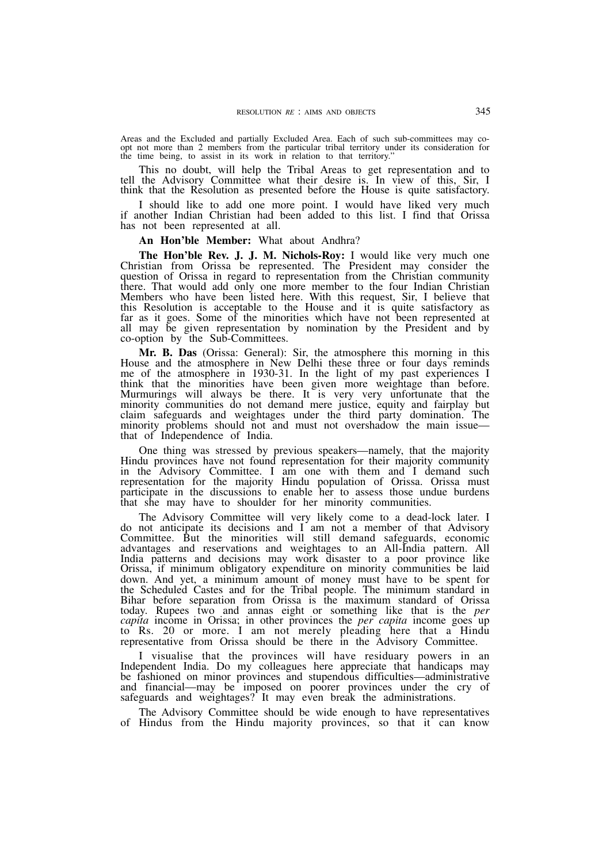Areas and the Excluded and partially Excluded Area. Each of such sub-committees may coopt not more than 2 members from the particular tribal territory under its consideration for the time being, to assist in its work in relation to that territory."

This no doubt, will help the Tribal Areas to get representation and to tell the Advisory Committee what their desire is. In view of this, Sir, I think that the Resolution as presented before the House is quite satisfactory.

I should like to add one more point. I would have liked very much if another Indian Christian had been added to this list. I find that Orissa has not been represented at all.

**An Hon'ble Member:** What about Andhra?

**The Hon'ble Rev. J. J. M. Nichols-Roy:** I would like very much one Christian from Orissa be represented. The President may consider the question of Orissa in regard to representation from the Christian community there. That would add only one more member to the four Indian Christian Members who have been listed here. With this request, Sir, I believe that this Resolution is acceptable to the House and it is quite satisfactory as far as it goes. Some of the minorities which have not been represented at all may be given representation by nomination by the President and by co-option by the Sub-Committees.

**Mr. B. Das** (Orissa: General): Sir, the atmosphere this morning in this House and the atmosphere in New Delhi these three or four days reminds me of the atmosphere in 1930-31. In the light of my past experiences I think that the minorities have been given more weightage than before. Murmurings will always be there. It is very very unfortunate that the minority communities do not demand mere justice, equity and fairplay but claim safeguards and weightages under the third party domination. The minority problems should not and must not overshadow the main issue that of Independence of India.

One thing was stressed by previous speakers—namely, that the majority Hindu provinces have not found representation for their majority community in the Advisory Committee. I am one with them and I demand such representation for the majority Hindu population of Orissa. Orissa must participate in the discussions to enable her to assess those undue burdens that she may have to shoulder for her minority communities.

The Advisory Committee will very likely come to a dead-lock later. I do not anticipate its decisions and I am not a member of that Advisory Committee. But the minorities will still demand safeguards, economic advantages and reservations and weightages to an All-India pattern. All India patterns and decisions may work disaster to a poor province like Orissa, if minimum obligatory expenditure on minority communities be laid down. And yet, a minimum amount of money must have to be spent for the Scheduled Castes and for the Tribal people. The minimum standard in Bihar before separation from Orissa is the maximum standard of Orissa today. Rupees two and annas eight or something like that is the *per capita* income in Orissa; in other provinces the *per capita* income goes up to Rs. 20 or more. I am not merely pleading here that a Hindu representative from Orissa should be there in the Advisory Committee.

I visualise that the provinces will have residuary powers in an Independent India. Do my colleagues here appreciate that handicaps may be fashioned on minor provinces and stupendous difficulties—administrative and financial—may be imposed on poorer provinces under the cry of safeguards and weightages? It may even break the administrations.

The Advisory Committee should be wide enough to have representatives of Hindus from the Hindu majority provinces, so that it can know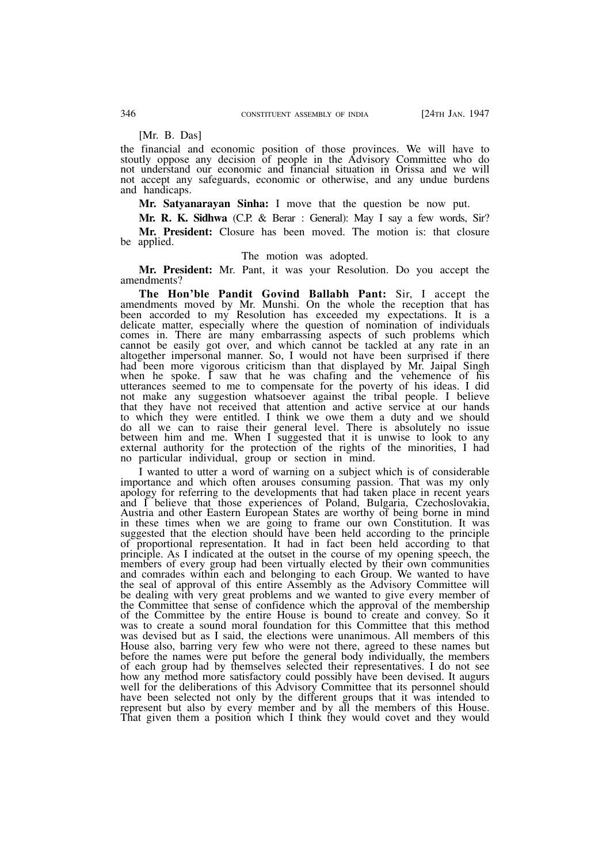#### [Mr. B. Das]

the financial and economic position of those provinces. We will have to stoutly oppose any decision of people in the Advisory Committee who do not understand our economic and financial situation in Orissa and we will not accept any safeguards, economic or otherwise, and any undue burdens and handicaps.

**Mr. Satyanarayan Sinha:** I move that the question be now put.

**Mr. R. K. Sidhwa** (C.P. & Berar : General): May I say a few words, Sir?

**Mr. President:** Closure has been moved. The motion is: that closure be applied.

#### The motion was adopted.

**Mr. President:** Mr. Pant, it was your Resolution. Do you accept the amendments?

**The Hon'ble Pandit Govind Ballabh Pant:** Sir, I accept the amendments moved by Mr. Munshi. On the whole the reception that has been accorded to my Resolution has exceeded my expectations. It is a delicate matter, especially where the question of nomination of individuals comes in. There are many embarrassing aspects of such problems which cannot be easily got over, and which cannot be tackled at any rate in an altogether impersonal manner. So, I would not have been surprised if there had been more vigorous criticism than that displayed by Mr. Jaipal Singh when he spoke. I saw that he was chafing and the vehemence of his utterances seemed to me to compensate for the poverty of his ideas. I did not make any suggestion whatsoever against the tribal people. I believe that they have not received that attention and active service at our hands to which they were entitled. I think we owe them a duty and we should do all we can to raise their general level. There is absolutely no issue between him and me. When I suggested that it is unwise to look to any external authority for the protection of the rights of the minorities, I had no particular individual, group or section in mind.

I wanted to utter a word of warning on a subject which is of considerable importance and which often arouses consuming passion. That was my only apology for referring to the developments that had taken place in recent years and I believe that those experiences of Poland, Bulgaria, Czechoslovakia, Austria and other Eastern European States are worthy of being borne in mind in these times when we are going to frame our own Constitution. It was suggested that the election should have been held according to the principle of proportional representation. It had in fact been held according to that principle. As I indicated at the outset in the course of my opening speech, the members of every group had been virtually elected by their own communities and comrades within each and belonging to each Group. We wanted to have the seal of approval of this entire Assembly as the Advisory Committee will be dealing with very great problems and we wanted to give every member of the Committee that sense of confidence which the approval of the membership of the Committee by the entire House is bound to create and convey. So it was to create a sound moral foundation for this Committee that this method was devised but as I said, the elections were unanimous. All members of this House also, barring very few who were not there, agreed to these names but before the names were put before the general body individually, the members of each group had by themselves selected their representatives. I do not see how any method more satisfactory could possibly have been devised. It augurs well for the deliberations of this Advisory Committee that its personnel should have been selected not only by the different groups that it was intended to represent but also by every member and by all the members of this House. That given them a position which I think they would covet and they would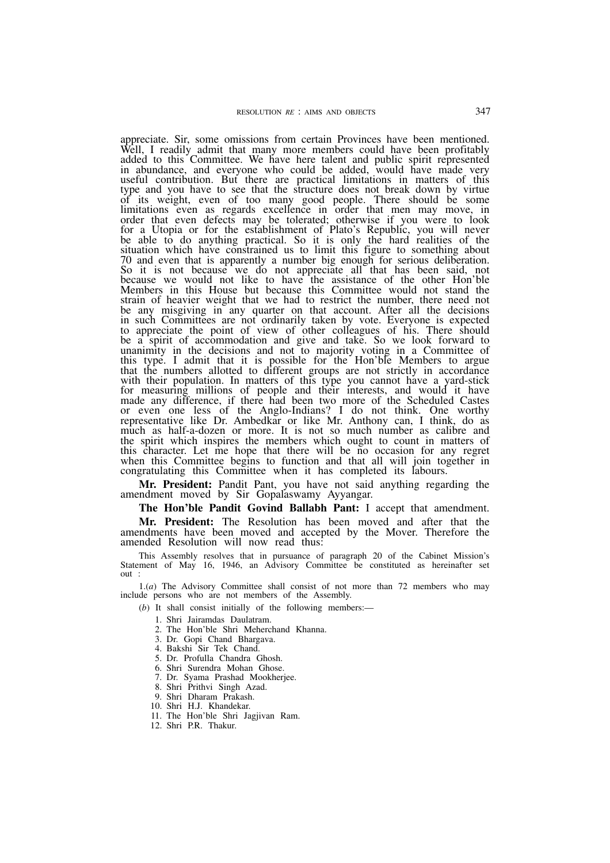appreciate. Sir, some omissions from certain Provinces have been mentioned. Well, I readily admit that many more members could have been profitably added to this Committee. We have here talent and public spirit represented in abundance, and everyone who could be added, would have made very useful contribution. But there are practical limitations in matters of this type and you have to see that the structure does not break down by virtue of its weight, even of too many good people. There should be some limitations even as regards excellence in order that men may move, in order that even defects may be tolerated; otherwise if you were to look for a Utopia or for the establishment of Plato's Republic, you will never be able to do anything practical. So it is only the hard realities of the situation which have constrained us to limit this figure to something about 70 and even that is apparently a number big enough for serious deliberation. So it is not because we do not appreciate all that has been said, not because we would not like to have the assistance of the other Hon'ble Members in this House but because this Committee would not stand the strain of heavier weight that we had to restrict the number, there need not be any misgiving in any quarter on that account. After all the decisions in such Committees are not ordinarily taken by vote. Everyone is expected to appreciate the point of view of other colleagues of his. There should be a spirit of accommodation and give and take. So we look forward to unanimity in the decisions and not to majority voting in a Committee of this type. I admit that it is possible for the Hon'ble Members to argue that the numbers allotted to different groups are not strictly in accordance with their population. In matters of this type you cannot have a yard-stick for measuring millions of people and their interests, and would it have made any difference, if there had been two more of the Scheduled Castes or even one less of the Anglo-Indians? I do not think. One worthy representative like Dr. Ambedkar or like Mr. Anthony can, I think, do as much as half-a-dozen or more. It is not so much number as calibre and the spirit which inspires the members which ought to count in matters of this character. Let me hope that there will be no occasion for any regret when this Committee begins to function and that all will join together in congratulating this Committee when it has completed its labours.

**Mr. President:** Pandit Pant, you have not said anything regarding the amendment moved by Sir Gopalaswamy Ayyangar.

**The Hon'ble Pandit Govind Ballabh Pant:** I accept that amendment.

**Mr. President:** The Resolution has been moved and after that the amendments have been moved and accepted by the Mover. Therefore the amended Resolution will now read thus:

This Assembly resolves that in pursuance of paragraph 20 of the Cabinet Mission's Statement of May 16, 1946, an Advisory Committee be constituted as hereinafter set out :

1.(*a*) The Advisory Committee shall consist of not more than 72 members who may include persons who are not members of the Assembly.

- (*b*) It shall consist initially of the following members:—
	- 1. Shri Jairamdas Daulatram.
	- 2. The Hon'ble Shri Meherchand Khanna.
	- 3. Dr. Gopi Chand Bhargava.
	- 4. Bakshi Sir Tek Chand.
	- 5. Dr. Profulla Chandra Ghosh.
	- 6. Shri Surendra Mohan Ghose.
	- 7. Dr. Syama Prashad Mookherjee.
	- 8. Shri Prithvi Singh Azad.
	- 9. Shri Dharam Prakash.
	- 10. Shri H.J. Khandekar.
	- 11. The Hon'ble Shri Jagjivan Ram.
	- 12. Shri P.R. Thakur.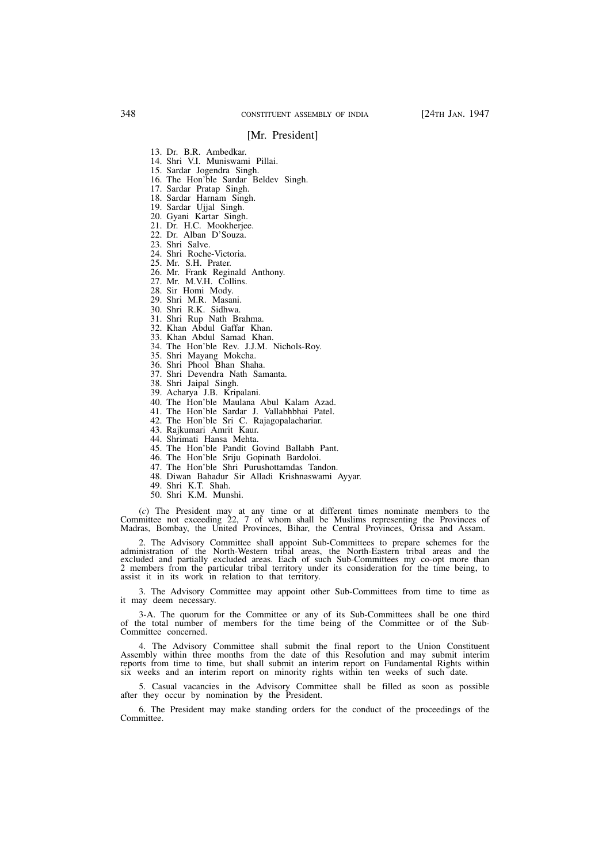#### [Mr. President]

- 13. Dr. B.R. Ambedkar.
- 14. Shri V.I. Muniswami Pillai.
- 15. Sardar Jogendra Singh.
- 16. The Hon'ble Sardar Beldev Singh.
- 17. Sardar Pratap Singh.
- 18. Sardar Harnam Singh.
- 19. Sardar Ujjal Singh.
- 20. Gyani Kartar Singh.
- 21. Dr. H.C. Mookherjee.
- 22. Dr. Alban D'Souza.
- 23. Shri Salve.
- 24. Shri Roche-Victoria.
- 25. Mr. S.H. Prater.
- 26. Mr. Frank Reginald Anthony.
- 27. Mr. M.V.H. Collins.
- 28. Sir Homi Mody.
- 29. Shri M.R. Masani.
- 30. Shri R.K. Sidhwa.
- 31. Shri Rup Nath Brahma.
- 32. Khan Abdul Gaffar Khan.
- 33. Khan Abdul Samad Khan.
- 34. The Hon'ble Rev. J.J.M. Nichols-Roy.
- 35. Shri Mayang Mokcha.
- 36. Shri Phool Bhan Shaha.
- 37. Shri Devendra Nath Samanta.
- 38. Shri Jaipal Singh.
- 39. Acharya J.B. Kripalani.
- 40. The Hon'ble Maulana Abul Kalam Azad.
- 41. The Hon'ble Sardar J. Vallabhbhai Patel.
- 42. The Hon'ble Sri C. Rajagopalachariar.
- 43. Rajkumari Amrit Kaur.
- 44. Shrimati Hansa Mehta.
- 45. The Hon'ble Pandit Govind Ballabh Pant.
- 46. The Hon'ble Sriju Gopinath Bardoloi.
- 47. The Hon'ble Shri Purushottamdas Tandon.
- 48. Diwan Bahadur Sir Alladi Krishnaswami Ayyar.
- 49. Shri K.T. Shah.
- 50. Shri K.M. Munshi.

(*c*) The President may at any time or at different times nominate members to the Committee not exceeding 22, 7 of whom shall be Muslims representing the Provinces of Madras, Bombay, the United Provinces, Bihar, the Central Provinces, Orissa and Assam.

2. The Advisory Committee shall appoint Sub-Committees to prepare schemes for the administration of the North-Western tribal areas, the North-Eastern tribal areas and the excluded and partially excluded areas. Each of such Sub-Committees my co-opt more than 2 members from the particular tribal territory under its consideration for the time being, to assist it in its work in relation to that territory.

3. The Advisory Committee may appoint other Sub-Committees from time to time as it may deem necessary.

3-A. The quorum for the Committee or any of its Sub-Committees shall be one third of the total number of members for the time being of the Committee or of the Sub-Committee concerned.

4. The Advisory Committee shall submit the final report to the Union Constituent Assembly within three months from the date of this Resolution and may submit interim reports from time to time, but shall submit an interim report on Fundamental Rights within six weeks and an interim report on minority rights within ten weeks of such date.

5. Casual vacancies in the Advisory Committee shall be filled as soon as possible after they occur by nomination by the President.

6. The President may make standing orders for the conduct of the proceedings of the Committee.